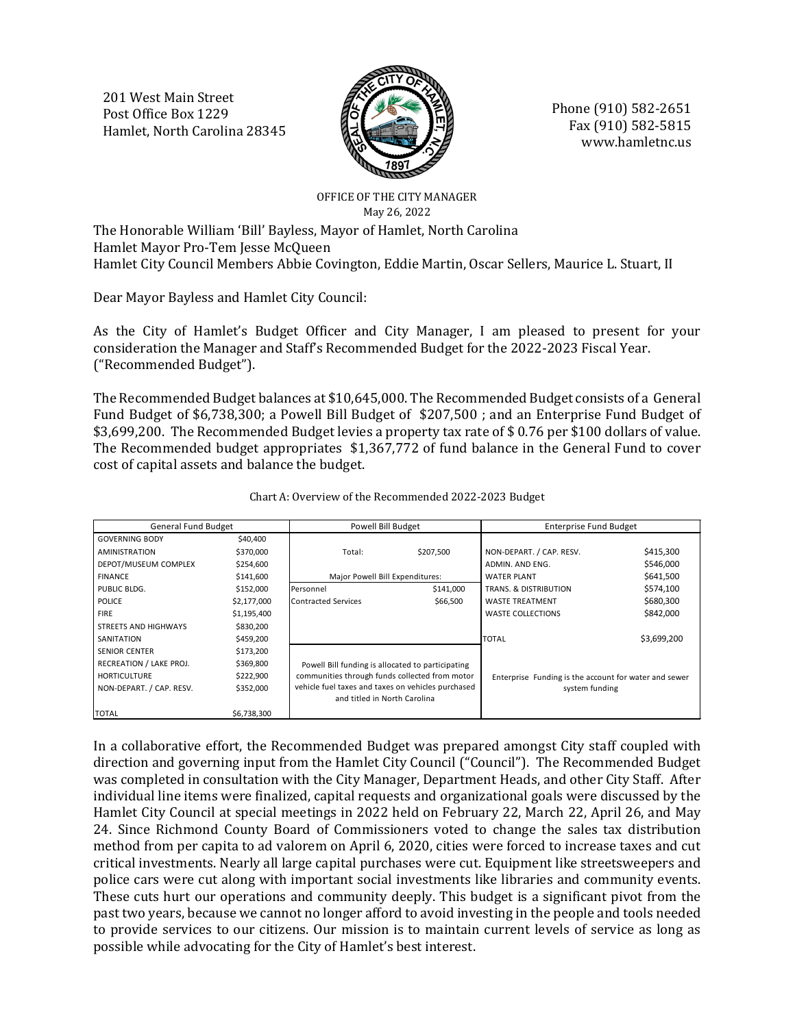201 West Main Street Post Office Box 1229 Hamlet, North Carolina 28345



Phone (910) 582-2651 Fax (910) 582-5815 www.hamletnc.us

# OFFICE OF THE CITY MANAGER May 26, 2022

The Honorable William 'Bill' Bayless, Mayor of Hamlet, North Carolina Hamlet Mayor Pro-Tem Jesse McQueen Hamlet City Council Members Abbie Covington, Eddie Martin, Oscar Sellers, Maurice L. Stuart, II

Dear Mayor Bayless and Hamlet City Council:

As the City of Hamlet's Budget Officer and City Manager, I am pleased to present for your consideration the Manager and Staff's Recommended Budget for the 2022-2023 Fiscal Year. ("Recommended Budget").

The Recommended Budget balances at \$10,645,000. The Recommended Budget consists of a General Fund Budget of \$6,738,300; a Powell Bill Budget of \$207,500 ; and an Enterprise Fund Budget of \$3,699,200. The Recommended Budget levies a property tax rate of \$ 0.76 per \$100 dollars of value. The Recommended budget appropriates \$1,367,772 of fund balance in the General Fund to cover cost of capital assets and balance the budget.

| <b>General Fund Budget</b>  |             | <b>Powell Bill Budget</b>                                                          |           | <b>Enterprise Fund Budget</b>                         |             |  |  |  |  |
|-----------------------------|-------------|------------------------------------------------------------------------------------|-----------|-------------------------------------------------------|-------------|--|--|--|--|
| <b>GOVERNING BODY</b>       | \$40,400    |                                                                                    |           |                                                       |             |  |  |  |  |
| <b>AMINISTRATION</b>        | \$370,000   | Total:                                                                             | \$207,500 | NON-DEPART. / CAP. RESV.                              | \$415,300   |  |  |  |  |
| DEPOT/MUSEUM COMPLEX        | \$254,600   |                                                                                    |           | ADMIN. AND ENG.                                       | \$546,000   |  |  |  |  |
| <b>FINANCE</b>              | \$141,600   | Major Powell Bill Expenditures:                                                    |           | <b>WATER PLANT</b>                                    | \$641,500   |  |  |  |  |
| PUBLIC BLDG.                | \$152,000   | Personnel                                                                          | \$141,000 | TRANS, & DISTRIBUTION                                 | \$574,100   |  |  |  |  |
| <b>POLICE</b>               | \$2,177,000 | <b>Contracted Services</b>                                                         | \$66,500  | <b>WASTE TREATMENT</b>                                | \$680,300   |  |  |  |  |
| <b>FIRE</b>                 | \$1,195,400 |                                                                                    |           | <b>WASTE COLLECTIONS</b>                              | \$842,000   |  |  |  |  |
| <b>STREETS AND HIGHWAYS</b> | \$830,200   |                                                                                    |           |                                                       |             |  |  |  |  |
| SANITATION                  | \$459,200   |                                                                                    |           | <b>TOTAL</b>                                          | \$3,699,200 |  |  |  |  |
| <b>SENIOR CENTER</b>        | \$173,200   |                                                                                    |           |                                                       |             |  |  |  |  |
| RECREATION / LAKE PROJ.     | \$369,800   | Powell Bill funding is allocated to participating                                  |           |                                                       |             |  |  |  |  |
| <b>HORTICULTURE</b>         | \$222,900   | communities through funds collected from motor                                     |           | Enterprise Funding is the account for water and sewer |             |  |  |  |  |
| NON-DEPART. / CAP. RESV.    | \$352,000   | vehicle fuel taxes and taxes on vehicles purchased<br>and titled in North Carolina |           | system funding                                        |             |  |  |  |  |
| TOTAL                       | \$6,738,300 |                                                                                    |           |                                                       |             |  |  |  |  |

Chart A: Overview of the Recommended 2022-2023 Budget

In a collaborative effort, the Recommended Budget was prepared amongst City staff coupled with direction and governing input from the Hamlet City Council ("Council"). The Recommended Budget was completed in consultation with the City Manager, Department Heads, and other City Staff. After individual line items were finalized, capital requests and organizational goals were discussed by the Hamlet City Council at special meetings in 2022 held on February 22, March 22, April 26, and May 24. Since Richmond County Board of Commissioners voted to change the sales tax distribution method from per capita to ad valorem on April 6, 2020, cities were forced to increase taxes and cut critical investments. Nearly all large capital purchases were cut. Equipment like streetsweepers and police cars were cut along with important social investments like libraries and community events. These cuts hurt our operations and community deeply. This budget is a significant pivot from the past two years, because we cannot no longer afford to avoid investing in the people and tools needed to provide services to our citizens. Our mission is to maintain current levels of service as long as possible while advocating for the City of Hamlet's best interest.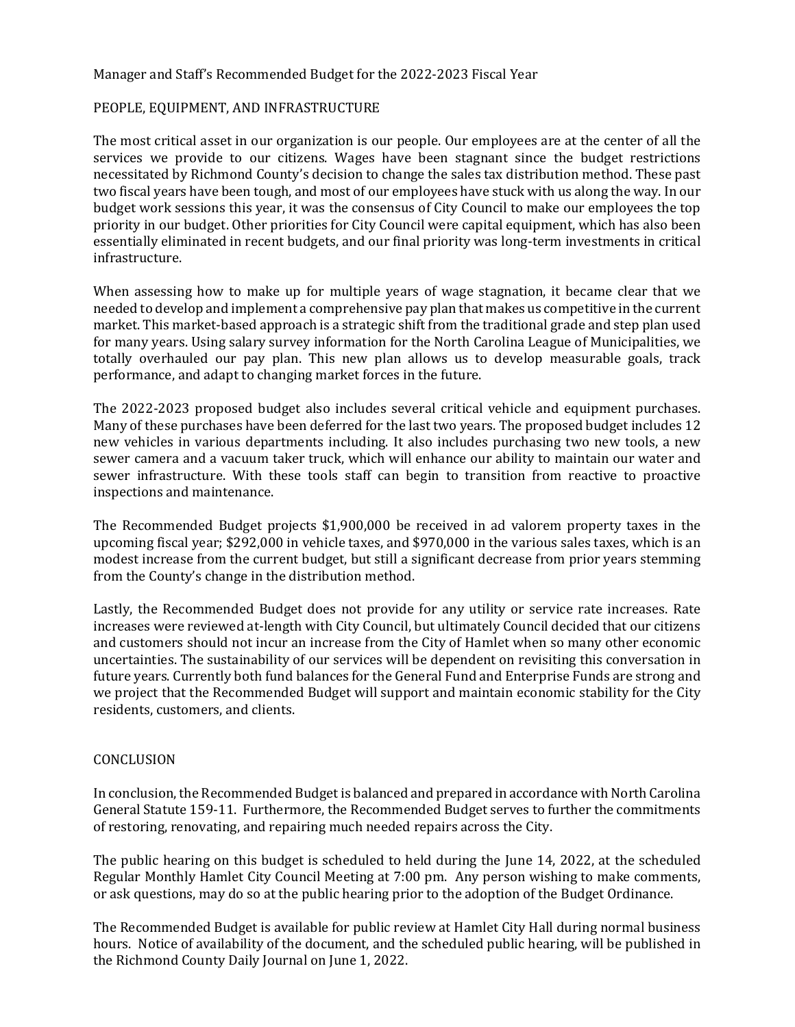### Manager and Staff's Recommended Budget for the 2022-2023 Fiscal Year

### PEOPLE, EQUIPMENT, AND INFRASTRUCTURE

The most critical asset in our organization is our people. Our employees are at the center of all the services we provide to our citizens. Wages have been stagnant since the budget restrictions necessitated by Richmond County's decision to change the sales tax distribution method. These past two fiscal years have been tough, and most of our employees have stuck with us along the way. In our budget work sessions this year, it was the consensus of City Council to make our employees the top priority in our budget. Other priorities for City Council were capital equipment, which has also been essentially eliminated in recent budgets, and our final priority was long-term investments in critical infrastructure.

When assessing how to make up for multiple years of wage stagnation, it became clear that we needed to develop and implement a comprehensive pay plan that makes us competitive in the current market. This market-based approach is a strategic shift from the traditional grade and step plan used for many years. Using salary survey information for the North Carolina League of Municipalities, we totally overhauled our pay plan. This new plan allows us to develop measurable goals, track performance, and adapt to changing market forces in the future.

The 2022-2023 proposed budget also includes several critical vehicle and equipment purchases. Many of these purchases have been deferred for the last two years. The proposed budget includes 12 new vehicles in various departments including. It also includes purchasing two new tools, a new sewer camera and a vacuum taker truck, which will enhance our ability to maintain our water and sewer infrastructure. With these tools staff can begin to transition from reactive to proactive inspections and maintenance.

The Recommended Budget projects \$1,900,000 be received in ad valorem property taxes in the upcoming fiscal year; \$292,000 in vehicle taxes, and \$970,000 in the various sales taxes, which is an modest increase from the current budget, but still a significant decrease from prior years stemming from the County's change in the distribution method.

Lastly, the Recommended Budget does not provide for any utility or service rate increases. Rate increases were reviewed at-length with City Council, but ultimately Council decided that our citizens and customers should not incur an increase from the City of Hamlet when so many other economic uncertainties. The sustainability of our services will be dependent on revisiting this conversation in future years. Currently both fund balances for the General Fund and Enterprise Funds are strong and we project that the Recommended Budget will support and maintain economic stability for the City residents, customers, and clients.

### **CONCLUSION**

In conclusion, the Recommended Budget is balanced and prepared in accordance with North Carolina General Statute 159-11. Furthermore, the Recommended Budget serves to further the commitments of restoring, renovating, and repairing much needed repairs across the City.

The public hearing on this budget is scheduled to held during the June 14, 2022, at the scheduled Regular Monthly Hamlet City Council Meeting at 7:00 pm. Any person wishing to make comments, or ask questions, may do so at the public hearing prior to the adoption of the Budget Ordinance.

The Recommended Budget is available for public review at Hamlet City Hall during normal business hours. Notice of availability of the document, and the scheduled public hearing, will be published in the Richmond County Daily Journal on June 1, 2022.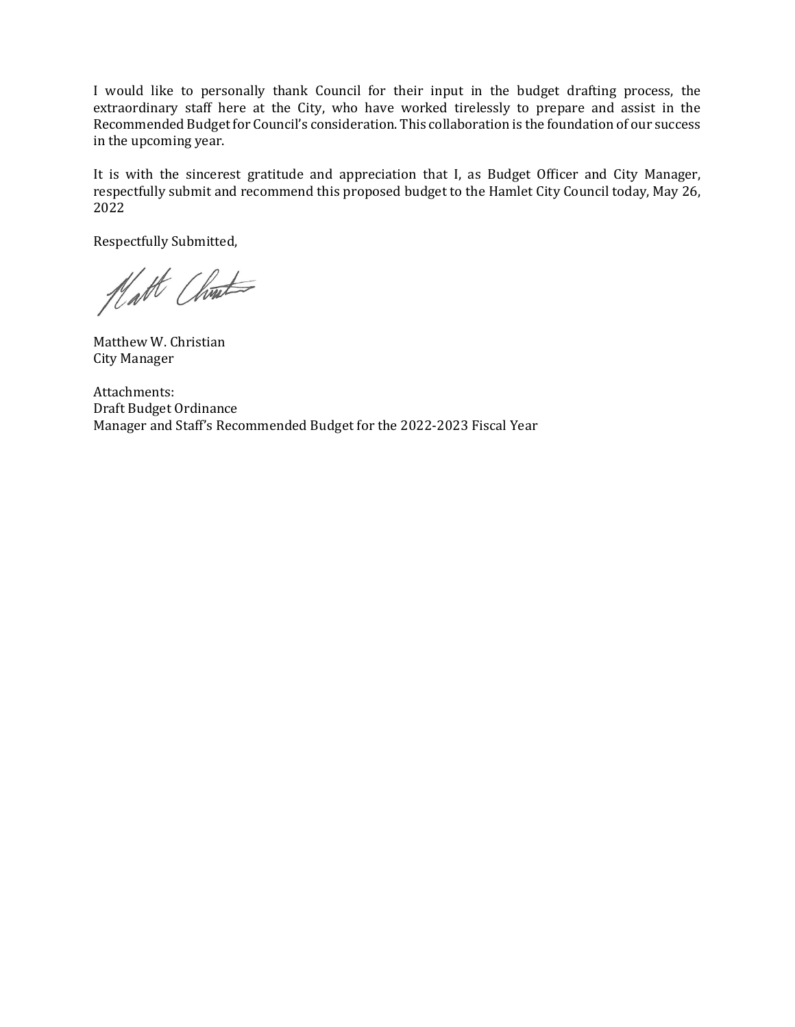I would like to personally thank Council for their input in the budget drafting process, the extraordinary staff here at the City, who have worked tirelessly to prepare and assist in the Recommended Budget for Council's consideration. This collaboration is the foundation of our success in the upcoming year.

It is with the sincerest gratitude and appreciation that I, as Budget Officer and City Manager, respectfully submit and recommend this proposed budget to the Hamlet City Council today, May 26, 2022

Respectfully Submitted,

Natt Christ

Matthew W. Christian City Manager

Attachments: Draft Budget Ordinance Manager and Staff's Recommended Budget for the 2022-2023 Fiscal Year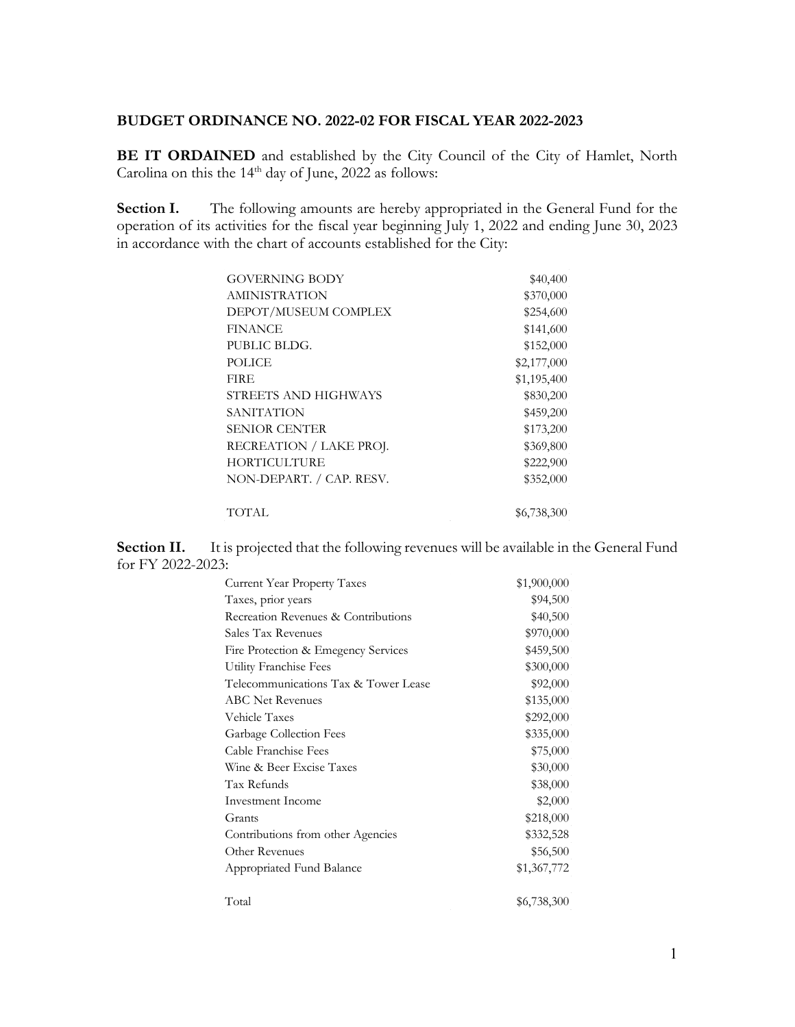# **BUDGET ORDINANCE NO. 2022-02 FOR FISCAL YEAR 2022-2023**

**BE IT ORDAINED** and established by the City Council of the City of Hamlet, North Carolina on this the  $14<sup>th</sup>$  day of June, 2022 as follows:

**Section I.** The following amounts are hereby appropriated in the General Fund for the operation of its activities for the fiscal year beginning July 1, 2022 and ending June 30, 2023 in accordance with the chart of accounts established for the City:

| <b>GOVERNING BODY</b>    | \$40,400    |
|--------------------------|-------------|
| AMINISTRATION            | \$370,000   |
| DEPOT/MUSEUM COMPLEX     | \$254,600   |
| <b>FINANCE</b>           | \$141,600   |
| PUBLIC BLDG.             | \$152,000   |
| <b>POLICE</b>            | \$2,177,000 |
| <b>FIRE</b>              | \$1,195,400 |
| STREETS AND HIGHWAYS     | \$830,200   |
| SANITATION               | \$459,200   |
| <b>SENIOR CENTER</b>     | \$173,200   |
| RECREATION / LAKE PROJ.  | \$369,800   |
| HORTICULTURE             | \$222,900   |
| NON-DEPART. / CAP. RESV. | \$352,000   |
| TOTAL                    | \$6,738,300 |

**Section II.** It is projected that the following revenues will be available in the General Fund for FY 2022-2023:

| <b>Current Year Property Taxes</b>   | \$1,900,000 |
|--------------------------------------|-------------|
| Taxes, prior years                   | \$94,500    |
| Recreation Revenues & Contributions  | \$40,500    |
| Sales Tax Revenues                   | \$970,000   |
| Fire Protection & Emegency Services  | \$459,500   |
| Utility Franchise Fees               | \$300,000   |
| Telecommunications Tax & Tower Lease | \$92,000    |
| <b>ABC</b> Net Revenues              | \$135,000   |
| Vehicle Taxes                        | \$292,000   |
| Garbage Collection Fees              | \$335,000   |
| Cable Franchise Fees                 | \$75,000    |
| Wine & Beer Excise Taxes             | \$30,000    |
| Tax Refunds                          | \$38,000    |
| Investment Income                    | \$2,000     |
| Grants                               | \$218,000   |
| Contributions from other Agencies    | \$332,528   |
| Other Revenues                       | \$56,500    |
| Appropriated Fund Balance            | \$1,367,772 |
| Total                                | \$6,738,300 |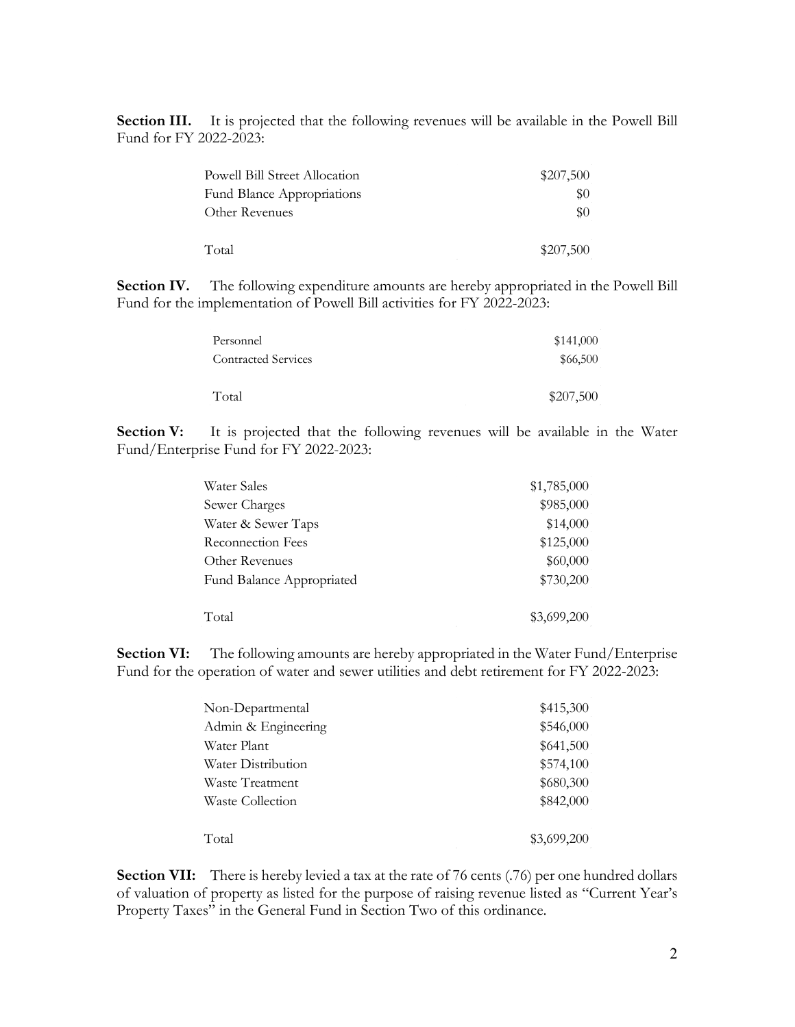**Section III.** It is projected that the following revenues will be available in the Powell Bill Fund for FY 2022-2023:

| <b>Powell Bill Street Allocation</b> | \$207,500 |
|--------------------------------------|-----------|
| <b>Fund Blance Appropriations</b>    | \$0       |
| Other Revenues                       | \$0       |
| Total                                | \$207,500 |

**Section IV.** The following expenditure amounts are hereby appropriated in the Powell Bill Fund for the implementation of Powell Bill activities for FY 2022-2023:

| Personnel                  | \$141,000 |
|----------------------------|-----------|
| <b>Contracted Services</b> | \$66,500  |
| Total                      | \$207,500 |

**Section V:** It is projected that the following revenues will be available in the Water Fund/Enterprise Fund for FY 2022-2023:

| Water Sales               | \$1,785,000 |
|---------------------------|-------------|
| Sewer Charges             | \$985,000   |
| Water & Sewer Taps        | \$14,000    |
| Reconnection Fees         | \$125,000   |
| Other Revenues            | \$60,000    |
| Fund Balance Appropriated | \$730,200   |
| Total                     | \$3,699,200 |

**Section VI:** The following amounts are hereby appropriated in the Water Fund/Enterprise Fund for the operation of water and sewer utilities and debt retirement for FY 2022-2023:

| Non-Departmental    | \$415,300   |
|---------------------|-------------|
| Admin & Engineering | \$546,000   |
| Water Plant         | \$641,500   |
| Water Distribution  | \$574,100   |
| Waste Treatment     | \$680,300   |
| Waste Collection    | \$842,000   |
| Total               | \$3,699,200 |

**Section VII:** There is hereby levied a tax at the rate of 76 cents (.76) per one hundred dollars of valuation of property as listed for the purpose of raising revenue listed as "Current Year's Property Taxes" in the General Fund in Section Two of this ordinance.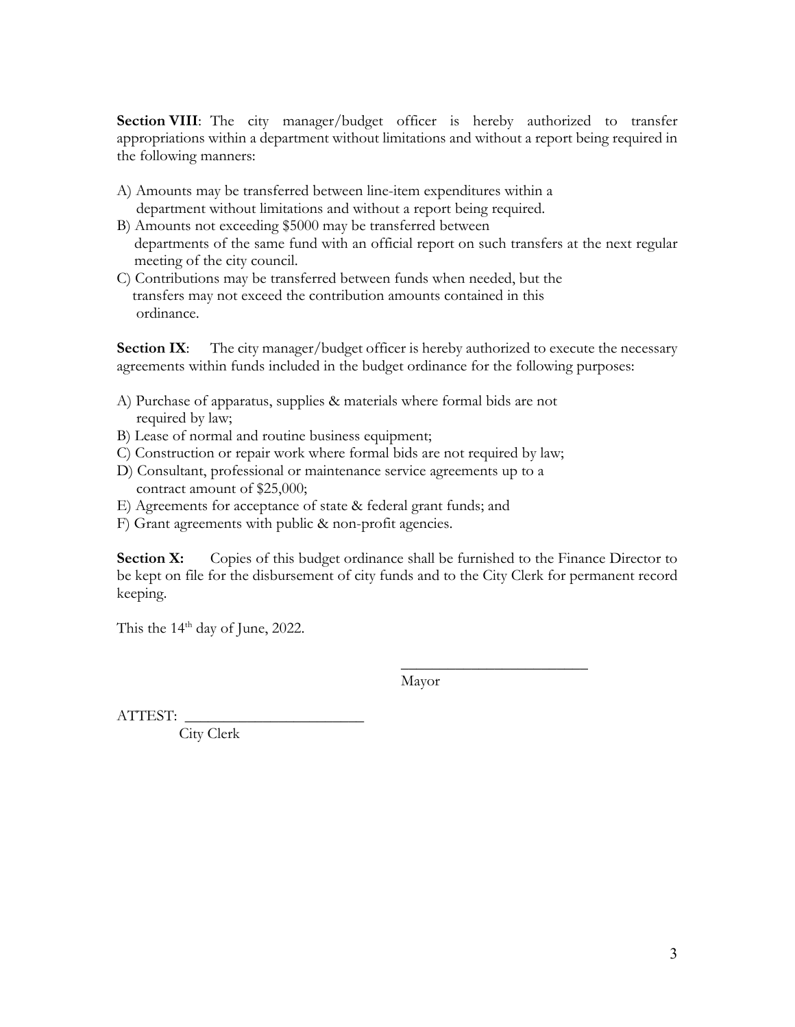**Section VIII**: The city manager/budget officer is hereby authorized to transfer appropriations within a department without limitations and without a report being required in the following manners:

- A) Amounts may be transferred between line-item expenditures within a department without limitations and without a report being required.
- B) Amounts not exceeding \$5000 may be transferred between departments of the same fund with an official report on such transfers at the next regular meeting of the city council.
- C) Contributions may be transferred between funds when needed, but the transfers may not exceed the contribution amounts contained in this ordinance.

**Section IX:** The city manager/budget officer is hereby authorized to execute the necessary agreements within funds included in the budget ordinance for the following purposes:

- A) Purchase of apparatus, supplies & materials where formal bids are not required by law;
- B) Lease of normal and routine business equipment;
- C) Construction or repair work where formal bids are not required by law;
- D) Consultant, professional or maintenance service agreements up to a contract amount of \$25,000;
- E) Agreements for acceptance of state & federal grant funds; and
- F) Grant agreements with public & non-profit agencies.

**Section X:** Copies of this budget ordinance shall be furnished to the Finance Director to be kept on file for the disbursement of city funds and to the City Clerk for permanent record keeping.

This the  $14<sup>th</sup>$  day of June, 2022.

Mayor

 $\overline{\phantom{a}}$  , where  $\overline{\phantom{a}}$  , where  $\overline{\phantom{a}}$  , where  $\overline{\phantom{a}}$ 

ATTEST:

City Clerk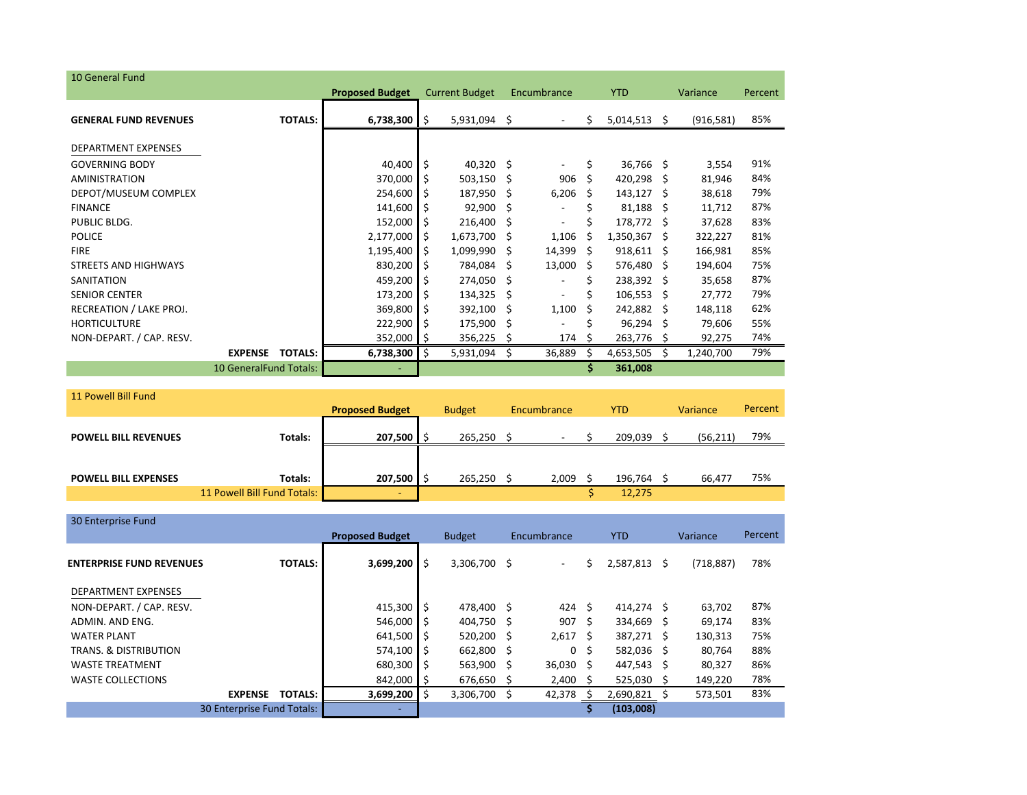| 10 General Fund              |                        |                |                        |      |                       |     |                              |    |              |     |            |         |
|------------------------------|------------------------|----------------|------------------------|------|-----------------------|-----|------------------------------|----|--------------|-----|------------|---------|
|                              |                        |                | <b>Proposed Budget</b> |      | <b>Current Budget</b> |     | Encumbrance                  |    | <b>YTD</b>   |     | Variance   | Percent |
| <b>GENERAL FUND REVENUES</b> |                        | <b>TOTALS:</b> | 6,738,300              | I \$ | $5,931,094$ \$        |     |                              | \$ | 5,014,513    | \$. | (916, 581) | 85%     |
| <b>DEPARTMENT EXPENSES</b>   |                        |                |                        |      |                       |     |                              |    |              |     |            |         |
| <b>GOVERNING BODY</b>        |                        |                | 40,400                 | I \$ | $40,320$ \$           |     |                              | \$ | 36,766 \$    |     | 3,554      | 91%     |
| <b>AMINISTRATION</b>         |                        |                | 370,000                | -S   | $503,150$ \$          |     | 906                          | Ś. | 420,298      | S   | 81,946     | 84%     |
| DEPOT/MUSEUM COMPLEX         |                        |                | 254,600                | I\$  | 187,950 \$            |     | 6,206                        | S  | $143,127$ \$ |     | 38,618     | 79%     |
| <b>FINANCE</b>               |                        |                | 141,600                | S    | 92,900                | -S  | $\overline{\phantom{a}}$     | Ś. | 81,188       | S   | 11,712     | 87%     |
| PUBLIC BLDG.                 |                        |                | 152,000                | l\$  | 216,400 \$            |     | $\qquad \qquad \blacksquare$ | Ś  | 178,772      | -S  | 37,628     | 83%     |
| <b>POLICE</b>                |                        |                | 2,177,000              | \$.  | 1,673,700             | S   | 1,106                        | Ś  | 1,350,367    | S   | 322,227    | 81%     |
| <b>FIRE</b>                  |                        |                | 1,195,400              | S    | 1,099,990             | Ŝ.  | 14,399                       | -S | $918,611$ \$ |     | 166,981    | 85%     |
| <b>STREETS AND HIGHWAYS</b>  |                        |                | 830,200                | l \$ | 784,084               | -\$ | 13,000                       | -S | 576,480      | -S  | 194,604    | 75%     |
| SANITATION                   |                        |                | 459,200                | l S  | 274,050 \$            |     | $\overline{\phantom{a}}$     | Ś  | 238,392 \$   |     | 35,658     | 87%     |
| <b>SENIOR CENTER</b>         |                        |                | 173,200                | l\$  | $134,325$ \$          |     | ۰                            | Ś  | 106,553      | S   | 27,772     | 79%     |
| RECREATION / LAKE PROJ.      |                        |                | 369,800                | Ŝ    | 392,100               | .s  | 1,100                        | Ś  | 242,882      | S   | 148,118    | 62%     |
| <b>HORTICULTURE</b>          |                        |                | 222,900                | I\$  | 175,900 \$            |     | ٠                            | Ś  | 96,294       | S   | 79,606     | 55%     |
| NON-DEPART. / CAP. RESV.     |                        |                | 352,000                | I S  | 356,225               | S   | 174                          | S  | 263,776      | -S  | 92,275     | 74%     |
|                              | <b>EXPENSE</b>         | <b>TOTALS:</b> | 6,738,300              | ۱\$  | 5,931,094             | Ŝ.  | 36,889                       | Ś. | 4,653,505    |     | 1,240,700  | 79%     |
|                              | 10 GeneralFund Totals: |                |                        |      |                       |     |                              | \$ | 361,008      |     |            |         |

| 11 Powell Bill Fund         |                             |         |               |             |       |            |         |          |          |         |
|-----------------------------|-----------------------------|---------|---------------|-------------|-------|------------|---------|----------|----------|---------|
|                             |                             |         | <b>Budget</b> | Encumbrance |       | <b>YTD</b> |         | Variance |          | Percent |
|                             |                             |         |               |             |       |            |         |          |          |         |
| <b>POWELL BILL REVENUES</b> | Totals:                     | 207,500 | 265.250       |             | -     |            | 209.039 |          | (56,211) | 79%     |
|                             |                             |         |               |             |       |            |         |          |          |         |
|                             |                             |         |               |             |       |            |         |          |          |         |
| <b>POWELL BILL EXPENSES</b> | Totals:                     | 207,500 | 265,250       |             | 2,009 |            | 196,764 |          | 66.477   | 75%     |
|                             | 11 Powell Bill Fund Totals: | $\sim$  |               |             |       |            | 12,275  |          |          |         |

| 30 Enterprise Fund               |                            |                |                        |     |                              |  |             |    |            |    |            |         |
|----------------------------------|----------------------------|----------------|------------------------|-----|------------------------------|--|-------------|----|------------|----|------------|---------|
|                                  |                            |                | <b>Proposed Budget</b> |     | <b>Budget</b><br>Encumbrance |  |             |    | YTD.       |    | Variance   | Percent |
| <b>ENTERPRISE FUND REVENUES</b>  |                            | <b>TOTALS:</b> | 3,699,200              | \$  | 3,306,700 \$                 |  | $\sim$      | S  | 2,587,813  | S. | (718, 887) | 78%     |
| <b>DEPARTMENT EXPENSES</b>       |                            |                |                        |     |                              |  |             |    |            |    |            |         |
| NON-DEPART. / CAP. RESV.         |                            |                | 415,300                | Ŝ   | 478.400 \$                   |  | 424         | Ŝ. | 414.274 \$ |    | 63,702     | 87%     |
| ADMIN. AND ENG.                  |                            |                | 546,000                | Ŝ   | 404,750 \$                   |  | 907 \$      |    | 334,669 \$ |    | 69,174     | 83%     |
| <b>WATER PLANT</b>               |                            |                | 641,500                | Ŝ   | 520.200 \$                   |  | $2,617$ \$  |    | 387.271 \$ |    | 130,313    | 75%     |
| <b>TRANS, &amp; DISTRIBUTION</b> |                            |                | 574,100                | \$. | 662,800 \$                   |  | 0           | Ś  | 582,036 \$ |    | 80,764     | 88%     |
| <b>WASTE TREATMENT</b>           |                            |                | 680,300                | \$. | 563,900 \$                   |  | $36,030$ \$ |    | 447,543 \$ |    | 80,327     | 86%     |
| <b>WASTE COLLECTIONS</b>         |                            |                | 842,000                | \$  | 676,650 \$                   |  | 2,400       |    | 525,030    |    | 149,220    | 78%     |
|                                  | <b>EXPENSE</b>             | <b>TOTALS:</b> | 3,699,200              | Ś   | 3,306,700 \$                 |  | 42,378      |    | 2,690,821  |    | 573,501    | 83%     |
|                                  | 30 Enterprise Fund Totals: |                | ۰                      |     |                              |  |             |    | (103,008)  |    |            |         |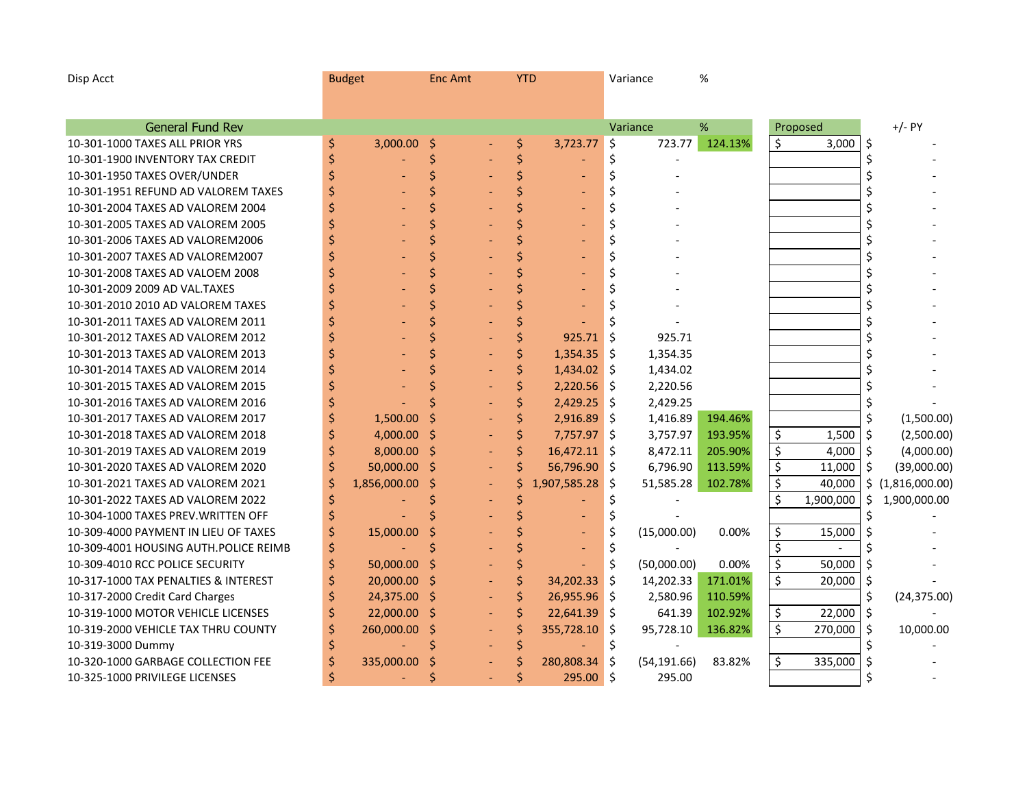| Disp Acct                              | <b>Budget</b> |              | <b>Enc Amt</b> | <b>YTD</b> |                |            | Variance     | %       |    |           |                    |
|----------------------------------------|---------------|--------------|----------------|------------|----------------|------------|--------------|---------|----|-----------|--------------------|
|                                        |               |              |                |            |                |            |              |         |    |           |                    |
|                                        |               |              |                |            |                |            |              |         |    |           |                    |
| <b>General Fund Rev</b>                |               |              |                |            |                |            | Variance     | $\%$    |    | Proposed  | $+/-$ PY           |
| 10-301-1000 TAXES ALL PRIOR YRS        | \$            | 3,000.00     | \$             | \$         | 3,723.77       | \$         | 723.77       | 124.13% | Ś. | 3,000     | \$                 |
| 10-301-1900 INVENTORY TAX CREDIT       | \$            |              | \$             | \$         |                | \$         |              |         |    |           | \$                 |
| 10-301-1950 TAXES OVER/UNDER           | \$            |              | Ś              | \$         |                | \$         |              |         |    |           | \$                 |
| 10-301-1951 REFUND AD VALOREM TAXES    | \$            |              | \$             | Ś          |                | \$         |              |         |    |           | \$                 |
| 10-301-2004 TAXES AD VALOREM 2004      | \$            |              | Ś              |            |                | \$         |              |         |    |           | \$                 |
| 10-301-2005 TAXES AD VALOREM 2005      | \$            |              | \$             |            |                | \$         |              |         |    |           | \$                 |
| 10-301-2006 TAXES AD VALOREM2006       |               |              | \$             |            |                | \$         |              |         |    |           | \$                 |
| 10-301-2007 TAXES AD VALOREM2007       |               |              | \$             |            |                | \$         |              |         |    |           | \$                 |
| 10-301-2008 TAXES AD VALOEM 2008       |               |              | Ś              |            |                | \$         |              |         |    |           | \$                 |
| 10-301-2009 2009 AD VAL.TAXES          |               |              | Ś              |            |                | \$         |              |         |    |           | \$                 |
| 10-301-2010 2010 AD VALOREM TAXES      |               |              | Ś              |            |                |            |              |         |    |           | \$                 |
| 10-301-2011 TAXES AD VALOREM 2011      |               |              | Ś              |            |                | Ś          |              |         |    |           | \$                 |
| 10-301-2012 TAXES AD VALOREM 2012      |               |              | Ś              | Ś          | 925.71         | \$         | 925.71       |         |    |           | \$                 |
| 10-301-2013 TAXES AD VALOREM 2013      |               |              | Ś              | \$         | 1,354.35       | \$         | 1,354.35     |         |    |           | \$                 |
| 10-301-2014 TAXES AD VALOREM 2014      |               |              | Ś              | \$         | 1,434.02       | ∥\$        | 1,434.02     |         |    |           | \$                 |
| 10-301-2015 TAXES AD VALOREM 2015      |               |              | Ś              | \$         | 2,220.56       | -\$        | 2,220.56     |         |    |           | \$                 |
| 10-301-2016 TAXES AD VALOREM 2016      |               |              | Ś              | \$         | 2,429.25       | $\vert$ \$ | 2,429.25     |         |    |           | \$                 |
| 10-301-2017 TAXES AD VALOREM 2017      |               | 1,500.00     | \$             | \$         | 2,916.89       | -\$        | 1,416.89     | 194.46% |    |           | \$<br>(1,500.00)   |
| 10-301-2018 TAXES AD VALOREM 2018      |               | 4,000.00     | \$             | \$         | 7,757.97       | \$         | 3,757.97     | 193.95% | \$ | 1,500     | \$<br>(2,500.00)   |
| 10-301-2019 TAXES AD VALOREM 2019      |               | 8,000.00     | \$             | \$         | $16,472.11$ \$ |            | 8,472.11     | 205.90% | \$ | 4,000     | \$<br>(4,000.00)   |
| 10-301-2020 TAXES AD VALOREM 2020      | \$            | 50,000.00    | \$             | Ś          | 56,796.90      | ∥\$        | 6,796.90     | 113.59% | \$ | 11,000    | \$<br>(39,000.00)  |
| 10-301-2021 TAXES AD VALOREM 2021      |               | 1,856,000.00 | \$             |            | 1,907,585.28   | \$         | 51,585.28    | 102.78% | \$ | 40,000    | \$(1,816,000.00)   |
| 10-301-2022 TAXES AD VALOREM 2022      |               |              |                |            |                | \$         |              |         | \$ | 1,900,000 | \$<br>1,900,000.00 |
| 10-304-1000 TAXES PREV. WRITTEN OFF    |               |              |                |            |                | \$         |              |         |    |           | \$                 |
| 10-309-4000 PAYMENT IN LIEU OF TAXES   | \$            | 15,000.00    | Ś              |            |                | \$         | (15,000.00)  | 0.00%   | \$ | 15,000    | \$                 |
| 10-309-4001 HOUSING AUTH. POLICE REIMB | \$            |              | Ś              |            |                | \$         |              |         | \$ |           | \$                 |
| 10-309-4010 RCC POLICE SECURITY        | \$            | 50,000.00    | Ś              | Ś          |                | $\zeta$    | (50,000.00)  | 0.00%   | \$ | 50,000    | \$                 |
| 10-317-1000 TAX PENALTIES & INTEREST   | \$            | 20,000.00    | \$             | \$         | 34,202.33      | Ŝ.         | 14,202.33    | 171.01% | \$ | 20,000    | \$                 |
| 10-317-2000 Credit Card Charges        | \$            | 24,375.00    | \$             | \$         | 26,955.96      | Ŝ.         | 2,580.96     | 110.59% |    |           | \$<br>(24, 375.00) |
| 10-319-1000 MOTOR VEHICLE LICENSES     | \$            | 22,000.00    | \$             | \$         | 22,641.39      | Ŝ.         | 641.39       | 102.92% | \$ | 22,000    | \$                 |
| 10-319-2000 VEHICLE TAX THRU COUNTY    | \$            | 260,000.00   | \$             | \$         | 355,728.10     | \$         | 95,728.10    | 136.82% | \$ | 270,000   | \$<br>10,000.00    |
| 10-319-3000 Dummy                      | \$            |              | \$             | \$         |                | \$         |              |         |    |           | \$                 |
| 10-320-1000 GARBAGE COLLECTION FEE     | \$            | 335,000.00   | Ś              | Ś          | 280,808.34     | \$         | (54, 191.66) | 83.82%  | \$ | 335,000   | \$                 |
| 10-325-1000 PRIVILEGE LICENSES         | Ś             |              | Ś              | Ś          | 295.00 \$      |            | 295.00       |         |    |           |                    |
|                                        |               |              |                |            |                |            |              |         |    |           |                    |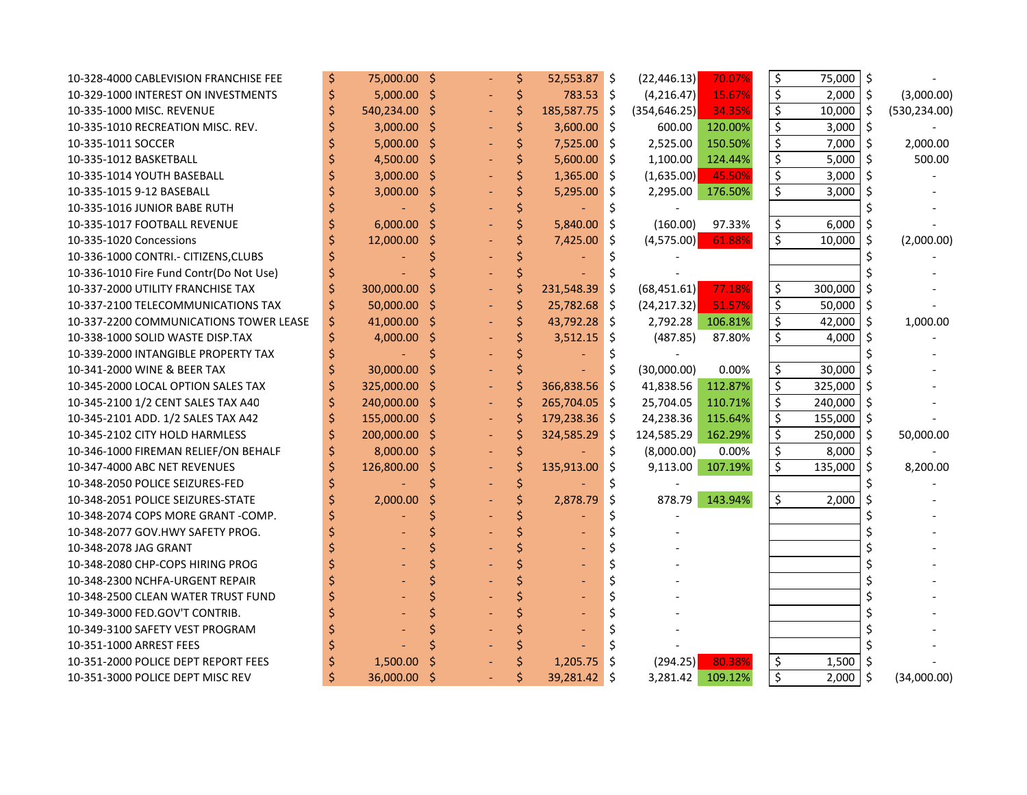| 10-328-4000 CABLEVISION FRANCHISE FEE   |   | 75,000.00 \$  |     | \$ | $52,553.87$ \$ |            | (22, 446.13)     | 70.07%  | \$ | 75,000  | \$                  |               |
|-----------------------------------------|---|---------------|-----|----|----------------|------------|------------------|---------|----|---------|---------------------|---------------|
| 10-329-1000 INTEREST ON INVESTMENTS     |   | $5,000.00$ \$ |     | \$ | 783.53 \$      |            | (4,216.47)       | 15.67%  | \$ | 2,000   | $\ddot{\mathsf{S}}$ | (3,000.00)    |
| 10-335-1000 MISC. REVENUE               |   | 540,234.00    | '\$ | \$ | 185,587.75 \$  |            | (354, 646.25)    | 34.35%  | \$ | 10,000  | \$                  | (530, 234.00) |
| 10-335-1010 RECREATION MISC. REV.       |   | 3,000.00      | '\$ | \$ | $3,600.00$ \$  |            | 600.00           | 120.00% | Ś  | 3,000   | $\zeta$             |               |
| 10-335-1011 SOCCER                      |   | 5,000.00      | '\$ |    | $7,525.00$ \$  |            | 2,525.00         | 150.50% | \$ | 7,000   | $\zeta$             | 2,000.00      |
| 10-335-1012 BASKETBALL                  |   | 4,500.00      | Ŝ.  |    | $5,600.00$ \$  |            | 1,100.00         | 124.44% | \$ | 5,000   | \$                  | 500.00        |
| 10-335-1014 YOUTH BASEBALL              |   | 3,000.00      | '\$ |    | $1,365.00$ \$  |            | (1,635.00)       | 45.50%  | \$ | 3,000   | Ŝ.                  |               |
| 10-335-1015 9-12 BASEBALL               |   | 3,000.00      | \$  |    | $5,295.00$ \$  |            | 2,295.00         | 176.50% | \$ | 3,000   | Ŝ.                  |               |
| 10-335-1016 JUNIOR BABE RUTH            |   |               | Ś   |    |                | \$         |                  |         |    |         |                     |               |
| 10-335-1017 FOOTBALL REVENUE            |   | 6,000.00      | Ś   | \$ | 5,840.00       | $\vert$ \$ | (160.00)         | 97.33%  | \$ | 6,000   | \$                  |               |
| 10-335-1020 Concessions                 |   | 12,000.00     | Ś   |    | $7,425.00$ \$  |            | (4,575.00)       | 61.88%  | \$ | 10,000  | \$                  | (2,000.00)    |
| 10-336-1000 CONTRI.- CITIZENS, CLUBS    |   |               |     |    |                |            |                  |         |    |         |                     |               |
| 10-336-1010 Fire Fund Contr(Do Not Use) |   |               |     |    |                |            |                  |         |    |         |                     |               |
| 10-337-2000 UTILITY FRANCHISE TAX       | Ś | 300,000.00    |     | Ś  | 231,548.39     | $\vert$ \$ | (68, 451.61)     | 77.18%  | \$ | 300,000 | \$                  |               |
| 10-337-2100 TELECOMMUNICATIONS TAX      | Ś | 50,000.00 \$  |     |    | 25,782.68 \$   |            | (24, 217.32)     | 51.57%  | \$ | 50,000  | $\zeta$             |               |
| 10-337-2200 COMMUNICATIONS TOWER LEASE  |   | 41,000.00 \$  |     |    | 43,792.28 \$   |            | 2,792.28 106.81% |         | \$ | 42,000  | \$                  | 1,000.00      |
| 10-338-1000 SOLID WASTE DISP.TAX        |   | 4,000.00 \$   |     |    | $3,512.15$ \$  |            | (487.85)         | 87.80%  | \$ | 4,000   | \$                  |               |
| 10-339-2000 INTANGIBLE PROPERTY TAX     |   |               |     |    |                |            |                  |         |    |         |                     |               |
| 10-341-2000 WINE & BEER TAX             |   | 30,000.00     |     |    |                | \$         | (30,000.00)      | 0.00%   | \$ | 30,000  | \$                  |               |
| 10-345-2000 LOCAL OPTION SALES TAX      |   | 325,000.00    | -Ŝ  | \$ | 366,838.56     | \$         | 41,838.56        | 112.87% | \$ | 325,000 | \$                  |               |
| 10-345-2100 1/2 CENT SALES TAX A40      |   | 240,000.00    | -S  | Ś  | 265,704.05     | Ŝ.         | 25,704.05        | 110.71% | \$ | 240,000 | \$                  |               |
| 10-345-2101 ADD. 1/2 SALES TAX A42      |   | 155,000.00    | \$  |    | 179,238.36 \$  |            | 24,238.36        | 115.64% | \$ | 155,000 | \$                  |               |
| 10-345-2102 CITY HOLD HARMLESS          |   | 200,000.00    | Ŝ   |    | 324,585.29     | Ŝ.         | 124,585.29       | 162.29% | \$ | 250,000 | \$                  | 50,000.00     |
| 10-346-1000 FIREMAN RELIEF/ON BEHALF    |   | 8,000.00      | -Ŝ  |    |                | \$         | (8,000.00)       | 0.00%   | \$ | 8,000   | \$                  |               |
| 10-347-4000 ABC NET REVENUES            |   | 126,800.00    | Ś   | \$ | 135,913.00     | \$         | 9,113.00         | 107.19% | \$ | 135,000 | $\zeta$             | 8,200.00      |
| 10-348-2050 POLICE SEIZURES-FED         |   |               |     |    |                |            |                  |         |    |         |                     |               |
| 10-348-2051 POLICE SEIZURES-STATE       |   | 2,000.00      | Ś   |    | 2,878.79       | \$         | 878.79           | 143.94% | \$ | 2,000   | \$                  |               |
| 10-348-2074 COPS MORE GRANT -COMP.      |   |               |     |    |                | \$         |                  |         |    |         | \$                  |               |
| 10-348-2077 GOV.HWY SAFETY PROG.        |   |               |     |    |                | \$         |                  |         |    |         |                     |               |
| 10-348-2078 JAG GRANT                   |   |               |     |    |                | \$         |                  |         |    |         |                     |               |
| 10-348-2080 CHP-COPS HIRING PROG        |   |               |     |    |                | \$         |                  |         |    |         |                     |               |
| 10-348-2300 NCHFA-URGENT REPAIR         |   |               |     |    |                | \$         |                  |         |    |         |                     |               |
| 10-348-2500 CLEAN WATER TRUST FUND      |   |               |     |    |                | \$         |                  |         |    |         |                     |               |
| 10-349-3000 FED.GOV'T CONTRIB.          |   |               |     |    |                |            |                  |         |    |         |                     |               |
| 10-349-3100 SAFETY VEST PROGRAM         |   |               |     |    |                |            |                  |         |    |         |                     |               |
| 10-351-1000 ARREST FEES                 |   |               |     |    |                |            |                  |         |    |         |                     |               |
| 10-351-2000 POLICE DEPT REPORT FEES     |   | 1,500.00      |     |    | 1,205.75       | Ŝ.         | (294.25)         | 80.38%  | \$ | 1,500   | \$                  |               |
| 10-351-3000 POLICE DEPT MISC REV        | Ś | 36,000.00 \$  |     |    | 39,281.42 \$   |            | 3,281.42         | 109.12% | \$ | 2,000   | $\zeta$             | (34,000.00)   |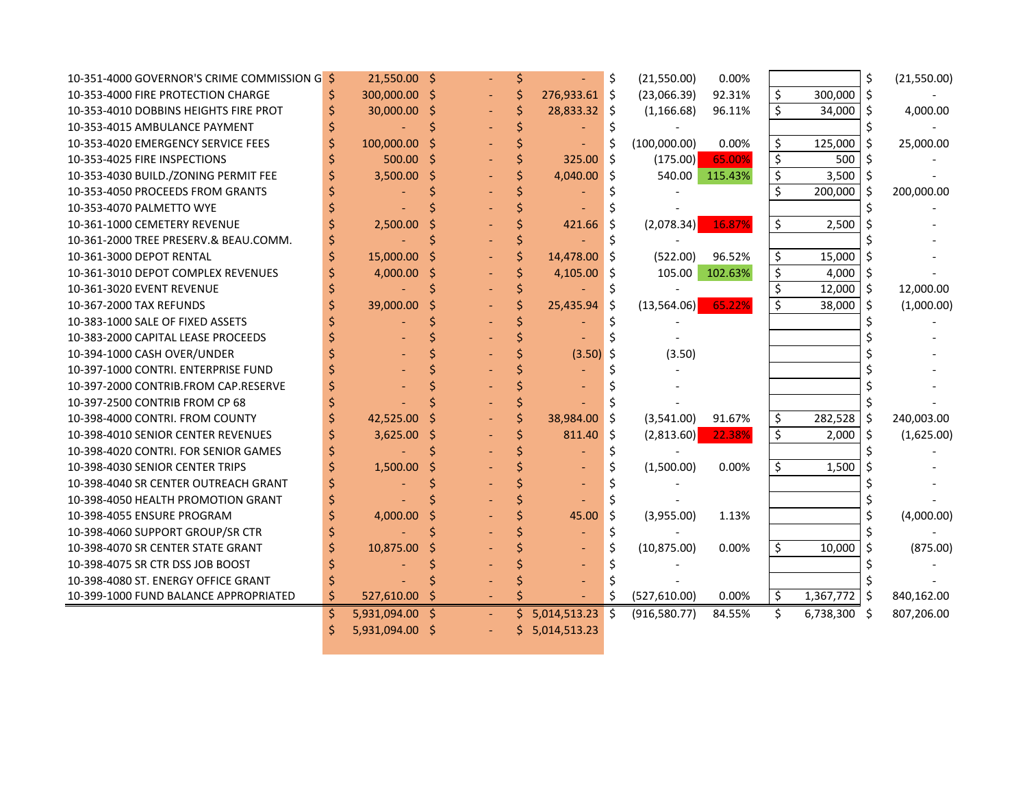| 10-351-4000 GOVERNOR'S CRIME COMMISSION G \$ |    | 21,550.00 \$ |    |    |               |     | (21,550.00)   | 0.00%   |         |              | \$  | (21,550.00) |
|----------------------------------------------|----|--------------|----|----|---------------|-----|---------------|---------|---------|--------------|-----|-------------|
| 10-353-4000 FIRE PROTECTION CHARGE           |    | 300,000.00   |    |    | 276,933.61 \$ |     | (23,066.39)   | 92.31%  | \$      | 300,000      | \$  |             |
| 10-353-4010 DOBBINS HEIGHTS FIRE PROT        |    | 30,000.00    | Ŝ  |    | 28,833.32 \$  |     | (1, 166.68)   | 96.11%  | \$      | 34,000       | Ŝ   | 4,000.00    |
| 10-353-4015 AMBULANCE PAYMENT                |    |              |    |    |               |     |               |         |         |              |     |             |
| 10-353-4020 EMERGENCY SERVICE FEES           |    | 100,000.00   |    |    |               |     | (100,000.00)  | 0.00%   | \$      | 125,000      | -Ś  | 25,000.00   |
| 10-353-4025 FIRE INSPECTIONS                 |    | 500.00       | .S |    | 325.00        | Ś.  | (175.00)      | 65.00%  | \$      | 500          |     |             |
| 10-353-4030 BUILD./ZONING PERMIT FEE         |    | 3,500.00     | Ŝ  |    | 4,040.00      | \$  | 540.00        | 115.43% | \$      | 3,500        | -\$ |             |
| 10-353-4050 PROCEEDS FROM GRANTS             |    |              |    |    |               |     |               |         | \$      | 200,000      | -Ś  | 200,000.00  |
| 10-353-4070 PALMETTO WYE                     |    |              |    |    |               |     |               |         |         |              |     |             |
| 10-361-1000 CEMETERY REVENUE                 |    | 2,500.00     |    |    | 421.66        | S   | (2,078.34)    | 16.87%  | \$      | 2,500        |     |             |
| 10-361-2000 TREE PRESERV.& BEAU.COMM.        |    |              |    |    |               |     |               |         |         |              |     |             |
| 10-361-3000 DEPOT RENTAL                     |    | 15,000.00    |    |    | 14,478.00     | Ŝ   | (522.00)      | 96.52%  | \$      | 15,000       |     |             |
| 10-361-3010 DEPOT COMPLEX REVENUES           |    | 4,000.00     |    |    | $4,105.00$ \$ |     | 105.00        | 102.63% | \$      | 4,000        | -S  |             |
| 10-361-3020 EVENT REVENUE                    |    |              |    |    |               |     |               |         | \$      | 12,000       | ∣\$ | 12,000.00   |
| 10-367-2000 TAX REFUNDS                      |    | 39,000.00    |    |    | 25,435.94     | \$. | (13,564.06)   | 65.22%  | $\zeta$ | 38,000       | Ŝ.  | (1,000.00)  |
| 10-383-1000 SALE OF FIXED ASSETS             |    |              |    |    |               |     |               |         |         |              |     |             |
| 10-383-2000 CAPITAL LEASE PROCEEDS           |    |              |    |    |               |     |               |         |         |              |     |             |
| 10-394-1000 CASH OVER/UNDER                  |    |              |    |    | $(3.50)$ \$   |     | (3.50)        |         |         |              |     |             |
| 10-397-1000 CONTRI. ENTERPRISE FUND          |    |              |    |    |               |     |               |         |         |              |     |             |
| 10-397-2000 CONTRIB.FROM CAP.RESERVE         |    |              |    |    |               |     |               |         |         |              |     |             |
| 10-397-2500 CONTRIB FROM CP 68               |    |              |    |    |               |     |               |         |         |              |     |             |
| 10-398-4000 CONTRI. FROM COUNTY              |    | 42,525.00    |    |    | 38,984.00     | Ŝ.  | (3,541.00)    | 91.67%  | \$      | $282,528$ \$ |     | 240,003.00  |
| 10-398-4010 SENIOR CENTER REVENUES           |    | 3,625.00     |    |    | 811.40        | Ŝ.  | (2,813.60)    | 22.38%  | \$      | 2,000        | -Ś  | (1,625.00)  |
| 10-398-4020 CONTRI. FOR SENIOR GAMES         |    |              |    |    |               |     |               |         |         |              |     |             |
| 10-398-4030 SENIOR CENTER TRIPS              |    | 1,500.00     |    |    |               |     | (1,500.00)    | 0.00%   | \$      | 1,500        |     |             |
| 10-398-4040 SR CENTER OUTREACH GRANT         |    |              |    |    |               |     |               |         |         |              |     |             |
| 10-398-4050 HEALTH PROMOTION GRANT           |    |              |    |    |               |     |               |         |         |              |     |             |
| 10-398-4055 ENSURE PROGRAM                   |    | 4,000.00     |    |    | 45.00         | Ŝ.  | (3,955.00)    | 1.13%   |         |              |     | (4,000.00)  |
| 10-398-4060 SUPPORT GROUP/SR CTR             |    |              |    |    |               |     |               |         |         |              |     |             |
| 10-398-4070 SR CENTER STATE GRANT            |    | 10,875.00    |    |    |               |     | (10, 875.00)  | 0.00%   | \$      | 10,000       |     | (875.00)    |
| 10-398-4075 SR CTR DSS JOB BOOST             |    |              |    |    |               |     |               |         |         |              |     |             |
| 10-398-4080 ST. ENERGY OFFICE GRANT          |    |              |    |    |               |     |               |         |         |              |     |             |
| 10-399-1000 FUND BALANCE APPROPRIATED        | Ś  | 527,610.00   |    |    |               | \$  | (527, 610.00) | 0.00%   | \$      | 1,367,772    | -\$ | 840,162.00  |
|                                              | \$ | 5,931,094.00 |    | Ś. | 5,014,513.23  | \$  | (916, 580.77) | 84.55%  | Ś.      | 6,738,300 \$ |     | 807,206.00  |
|                                              |    | 5,931,094.00 |    | Ś. | 5,014,513.23  |     |               |         |         |              |     |             |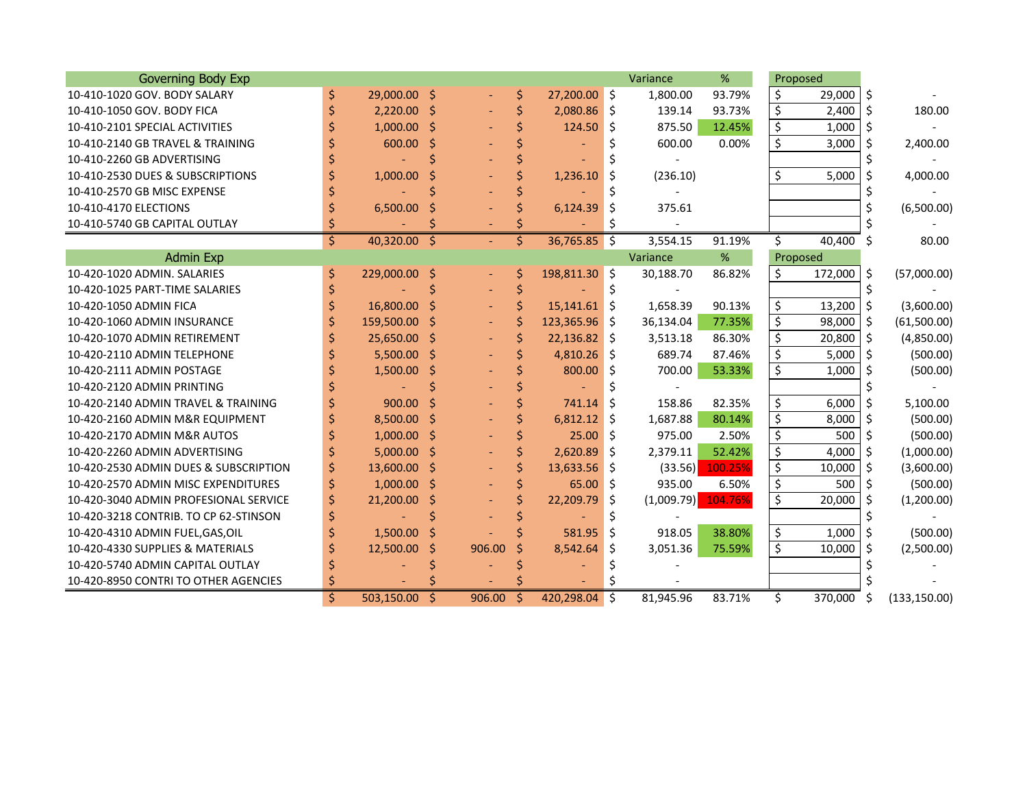| <b>Governing Body Exp</b>             |    |               |              |        |    |                |      | Variance   | %       |                          | Proposed  |         |               |
|---------------------------------------|----|---------------|--------------|--------|----|----------------|------|------------|---------|--------------------------|-----------|---------|---------------|
| 10-410-1020 GOV, BODY SALARY          | \$ | 29,000.00 \$  |              |        | \$ | 27,200.00 \$   |      | 1,800.00   | 93.79%  | \$                       | 29,000    | -Ś      |               |
| 10-410-1050 GOV, BODY FICA            |    | 2.220.00      | - \$         |        | \$ | $2,080.86$ \$  |      | 139.14     | 93.73%  | \$                       | 2,400     | \$      | 180.00        |
| 10-410-2101 SPECIAL ACTIVITIES        |    | $1,000.00$ \$ |              |        |    | 124.50         | Ŝ.   | 875.50     | 12.45%  | \$                       | 1,000     | \$      |               |
| 10-410-2140 GB TRAVEL & TRAINING      |    | 600.00        | Ś            |        |    |                | Ś    | 600.00     | 0.00%   | \$                       | 3,000     | Ś       | 2,400.00      |
| 10-410-2260 GB ADVERTISING            |    |               |              |        |    |                |      |            |         |                          |           |         |               |
| 10-410-2530 DUES & SUBSCRIPTIONS      |    | 1,000.00      |              |        |    | 1,236.10       | \$.  | (236.10)   |         | \$                       | 5,000     | Ś       | 4,000.00      |
| 10-410-2570 GB MISC EXPENSE           |    |               |              |        |    |                |      |            |         |                          |           |         |               |
| 10-410-4170 ELECTIONS                 |    | 6,500.00      |              |        |    | 6,124.39       | \$.  | 375.61     |         |                          |           |         | (6,500.00)    |
| 10-410-5740 GB CAPITAL OUTLAY         |    |               |              |        |    |                | S    |            |         |                          |           |         |               |
|                                       | \$ | 40,320.00     | -\$          |        | \$ | $36,765.85$ \$ |      | 3,554.15   | 91.19%  | \$                       | 40,400 \$ |         | 80.00         |
| <b>Admin Exp</b>                      |    |               |              |        |    |                |      | Variance   | %       |                          | Proposed  |         |               |
| 10-420-1020 ADMIN, SALARIES           | \$ | 229,000.00 \$ |              |        | Ş  | 198,811.30 \$  |      | 30,188.70  | 86.82%  | \$                       | 172,000   | -\$     | (57,000.00)   |
| 10-420-1025 PART-TIME SALARIES        |    |               |              |        |    |                | \$   |            |         |                          |           |         |               |
| 10-420-1050 ADMIN FICA                |    | 16,800.00     | Ŝ            |        | \$ | $15,141.61$ \$ |      | 1,658.39   | 90.13%  | \$                       | 13,200    | $\zeta$ | (3,600.00)    |
| 10-420-1060 ADMIN INSURANCE           | Ś  | 159,500.00    | \$           |        | \$ | 123,365.96 \$  |      | 36,134.04  | 77.35%  | \$                       | 98,000    | \$      | (61,500.00)   |
| 10-420-1070 ADMIN RETIREMENT          |    | 25,650.00 \$  |              |        | Ś  | $22,136.82$ \$ |      | 3,513.18   | 86.30%  | \$                       | 20,800    | $\zeta$ | (4,850.00)    |
| 10-420-2110 ADMIN TELEPHONE           |    | $5,500.00$ \$ |              |        |    | $4,810.26$ \$  |      | 689.74     | 87.46%  | \$                       | 5,000     | \$      | (500.00)      |
| 10-420-2111 ADMIN POSTAGE             |    | 1,500.00      | '\$          |        |    | 800.00         | \$   | 700.00     | 53.33%  | \$                       | 1,000     | \$      | (500.00)      |
| 10-420-2120 ADMIN PRINTING            |    |               |              |        |    |                |      |            |         |                          |           |         |               |
| 10-420-2140 ADMIN TRAVEL & TRAINING   |    | 900.00        | Ś            |        |    | 741.14         | Ŝ.   | 158.86     | 82.35%  | \$                       | 6,000     | \$      | 5,100.00      |
| 10-420-2160 ADMIN M&R EQUIPMENT       |    | 8,500.00      | -Ś           |        |    | $6,812.12$ \$  |      | 1,687.88   | 80.14%  | \$                       | 8,000     | \$      | (500.00)      |
| 10-420-2170 ADMIN M&R AUTOS           |    | 1,000.00      | -\$          |        | Ś  | 25.00          | ۱Ś   | 975.00     | 2.50%   | \$                       | 500       | \$      | (500.00)      |
| 10-420-2260 ADMIN ADVERTISING         |    | $5,000.00$ \$ |              |        | Ś  | 2.620.89       | l s  | 2,379.11   | 52.42%  | \$                       | 4.000     | Ŝ.      | (1,000.00)    |
| 10-420-2530 ADMIN DUES & SUBSCRIPTION |    | 13,600.00 \$  |              |        | Ś  | $13,633.56$ \$ |      | (33.56)    | 100.25% | $\overline{\xi}$         | 10,000    | Ŝ.      | (3,600.00)    |
| 10-420-2570 ADMIN MISC EXPENDITURES   |    | $1,000.00$ \$ |              |        |    | 65.00          | \$ ا | 935.00     | 6.50%   | \$                       | 500       | \$      | (500.00)      |
| 10-420-3040 ADMIN PROFESIONAL SERVICE |    | 21,200.00     | Ś            |        |    | 22,209.79      | -\$  | (1,009.79) | 104.76% | $\overline{\mathcal{S}}$ | 20,000    | -\$     | (1,200.00)    |
| 10-420-3218 CONTRIB. TO CP 62-STINSON |    |               |              |        |    |                |      |            |         |                          |           |         |               |
| 10-420-4310 ADMIN FUEL, GAS, OIL      |    | 1,500.00      | Ś            |        |    | 581.95         | Ŝ.   | 918.05     | 38.80%  | \$                       | 1,000     | \$      | (500.00)      |
| 10-420-4330 SUPPLIES & MATERIALS      |    | 12,500.00     | -Ŝ           | 906.00 | \$ | 8,542.64       | -\$  | 3,051.36   | 75.59%  | \$                       | 10,000    | Ŝ.      | (2,500.00)    |
| 10-420-5740 ADMIN CAPITAL OUTLAY      |    |               |              |        |    |                |      |            |         |                          |           |         |               |
| 10-420-8950 CONTRI TO OTHER AGENCIES  |    |               |              |        |    |                |      |            |         |                          |           |         |               |
|                                       | Ś. | 503,150.00    | <sub>S</sub> | 906.00 | S  | 420,298.04     | Ŝ.   | 81,945.96  | 83.71%  | Ś.                       | 370,000   | Ŝ       | (133, 150.00) |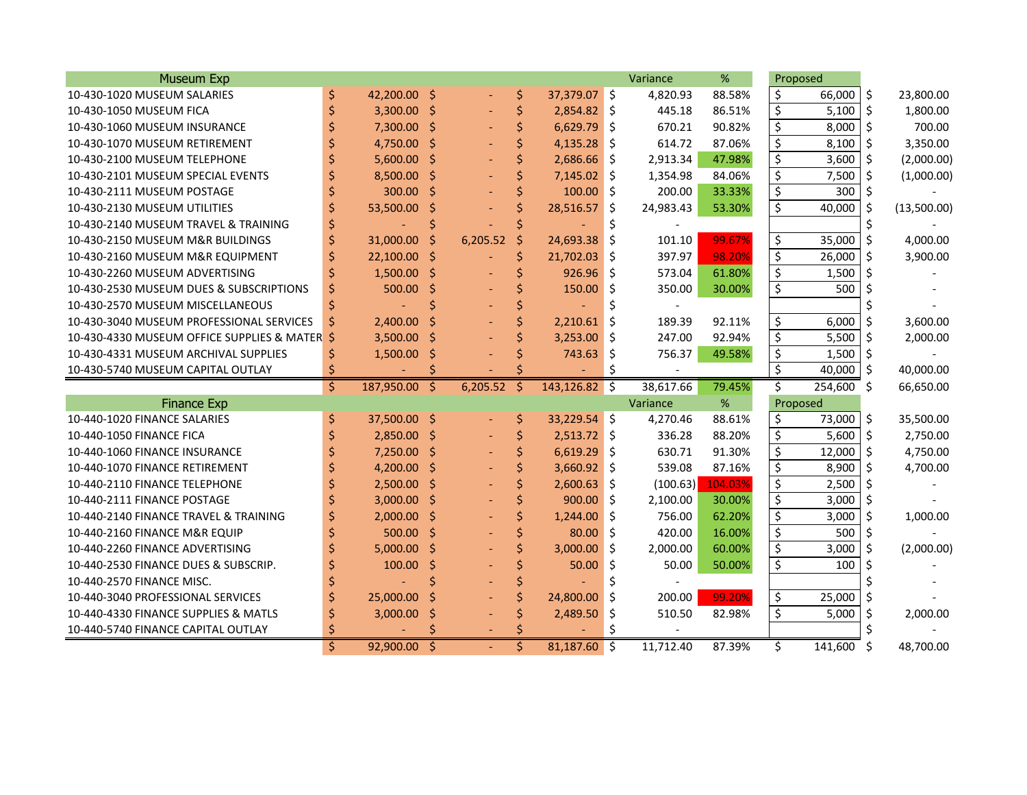| <b>Museum Exp</b>                          |    |              |         |          |    |                  |     | Variance  | %       | Proposed                 |         |         |             |
|--------------------------------------------|----|--------------|---------|----------|----|------------------|-----|-----------|---------|--------------------------|---------|---------|-------------|
| 10-430-1020 MUSEUM SALARIES                | \$ | 42,200.00 \$ |         |          | \$ | 37,379.07 \$     |     | 4,820.93  | 88.58%  | \$                       | 66,000  | \$      | 23,800.00   |
| 10-430-1050 MUSEUM FICA                    |    | 3,300.00     | \$      |          | \$ | 2,854.82         | Ŝ.  | 445.18    | 86.51%  | \$                       | 5,100   | \$      | 1,800.00    |
| 10-430-1060 MUSEUM INSURANCE               |    | 7,300.00     | \$      |          |    | 6,629.79         | Ŝ.  | 670.21    | 90.82%  | \$                       | 8,000   | Ś       | 700.00      |
| 10-430-1070 MUSEUM RETIREMENT              |    | 4,750.00 \$  |         |          |    | 4,135.28         | Ŝ.  | 614.72    | 87.06%  | \$                       | 8,100   | Ś       | 3,350.00    |
| 10-430-2100 MUSEUM TELEPHONE               |    | 5,600.00 \$  |         |          |    | 2,686.66         | Ŝ.  | 2,913.34  | 47.98%  | \$                       | 3,600   | Ŝ.      | (2,000.00)  |
| 10-430-2101 MUSEUM SPECIAL EVENTS          |    | 8,500.00 \$  |         |          |    | 7,145.02         | Ŝ.  | 1,354.98  | 84.06%  | \$                       | 7,500   | Ŝ.      | (1,000.00)  |
| 10-430-2111 MUSEUM POSTAGE                 |    | 300.00       | \$      |          |    | 100.00           | Ŝ.  | 200.00    | 33.33%  | \$                       | 300     | \$      |             |
| 10-430-2130 MUSEUM UTILITIES               |    | 53,500.00    | \$      |          |    | 28,516.57        | \$  | 24,983.43 | 53.30%  | \$                       | 40,000  | Ś.      | (13,500.00) |
| 10-430-2140 MUSEUM TRAVEL & TRAINING       |    |              |         |          |    |                  | \$  |           |         |                          |         | \$      |             |
| 10-430-2150 MUSEUM M&R BUILDINGS           |    | 31,000.00    | S       | 6,205.52 | \$ | 24,693.38        | Ŝ.  | 101.10    | 99.67%  | \$                       | 35,000  | $\zeta$ | 4,000.00    |
| 10-430-2160 MUSEUM M&R EQUIPMENT           |    | 22,100.00    | \$      |          | \$ | 21,702.03        | Ŝ.  | 397.97    | 98.20%  | \$                       | 26,000  | \$      | 3,900.00    |
| 10-430-2260 MUSEUM ADVERTISING             | \$ | 1,500.00     | \$      |          |    | 926.96           | \$  | 573.04    | 61.80%  | \$                       | 1,500   | \$      |             |
| 10-430-2530 MUSEUM DUES & SUBSCRIPTIONS    | \$ | 500.00       | \$      |          |    | 150.00           | \$  | 350.00    | 30.00%  | \$                       | 500     | Ś       |             |
| 10-430-2570 MUSEUM MISCELLANEOUS           | \$ |              |         |          |    |                  | \$  |           |         |                          |         |         |             |
| 10-430-3040 MUSEUM PROFESSIONAL SERVICES   | Ś  | 2,400.00     |         |          |    | 2,210.61         | \$  | 189.39    | 92.11%  | \$                       | 6,000   |         | 3,600.00    |
| 10-430-4330 MUSEUM OFFICE SUPPLIES & MATER | .Ŝ | 3,500.00     |         |          |    | 3,253.00         | \$  | 247.00    | 92.94%  | \$                       | 5,500   | \$      | 2,000.00    |
| 10-430-4331 MUSEUM ARCHIVAL SUPPLIES       | \$ | 1,500.00     | S       |          |    | 743.63           | \$. | 756.37    | 49.58%  | \$                       | 1,500   | \$      |             |
| 10-430-5740 MUSEUM CAPITAL OUTLAY          | \$ |              |         |          |    |                  | Ś.  |           |         | $\overline{\mathsf{S}}$  | 40,000  | \$      | 40,000.00   |
|                                            | Ś. | 187,950.00   | Ś.      | 6,205.52 | -Ś | $143, 126.82$ \$ |     | 38,617.66 | 79.45%  | \$                       | 254,600 | - \$    | 66,650.00   |
| <b>Finance Exp</b>                         |    |              |         |          |    |                  |     | Variance  | %       | Proposed                 |         |         |             |
| 10-440-1020 FINANCE SALARIES               | \$ | 37,500.00 \$ |         |          | \$ | 33,229.54 \$     |     | 4,270.46  | 88.61%  | \$                       | 73,000  | \$      | 35,500.00   |
| 10-440-1050 FINANCE FICA                   |    | 2,850.00     | \$      |          | \$ | $2,513.72$ \$    |     | 336.28    | 88.20%  | \$                       | 5,600   | $\zeta$ | 2,750.00    |
| 10-440-1060 FINANCE INSURANCE              |    | 7,250.00     | $\zeta$ |          | \$ | 6,619.29         | \$  | 630.71    | 91.30%  | \$                       | 12,000  | $\zeta$ | 4,750.00    |
| 10-440-1070 FINANCE RETIREMENT             |    | 4,200.00     | \$      |          |    | 3,660.92         | \$  | 539.08    | 87.16%  | \$                       | 8,900   | Ś       | 4,700.00    |
| 10-440-2110 FINANCE TELEPHONE              |    | 2,500.00     | \$      |          |    | 2,600.63         | \$  | (100.63)  | 104.03% | \$                       | 2,500   | Ś.      |             |
| 10-440-2111 FINANCE POSTAGE                |    | 3,000.00     | \$      |          |    | 900.00           | Ś.  | 2,100.00  | 30.00%  | $\overline{\mathcal{S}}$ | 3,000   | Ś.      |             |
| 10-440-2140 FINANCE TRAVEL & TRAINING      |    | 2,000.00     | \$      |          |    | 1,244.00         | Ŝ.  | 756.00    | 62.20%  | \$                       | 3,000   | \$      | 1,000.00    |
| 10-440-2160 FINANCE M&R EQUIP              |    | $500.00$ \$  |         |          |    | 80.00            | Ŝ.  | 420.00    | 16.00%  | \$                       | 500     | Ś.      |             |
| 10-440-2260 FINANCE ADVERTISING            |    | 5,000.00     | -\$     |          |    | 3,000.00         | Ŝ.  | 2,000.00  | 60.00%  | \$                       | 3,000   | Ŝ.      | (2,000.00)  |
| 10-440-2530 FINANCE DUES & SUBSCRIP.       |    | 100.00       | \$      |          |    | 50.00            | \$  | 50.00     | 50.00%  | \$                       | 100     |         |             |
| 10-440-2570 FINANCE MISC.                  |    |              |         |          |    |                  | Ś   |           |         |                          |         |         |             |
| 10-440-3040 PROFESSIONAL SERVICES          |    | 25,000.00    |         |          |    | 24,800.00        | \$  | 200.00    | 99.20%  | \$                       | 25,000  | \$      |             |
| 10-440-4330 FINANCE SUPPLIES & MATLS       |    | 3,000.00     | Ś       |          |    | 2,489.50         | \$  | 510.50    | 82.98%  | \$                       | 5,000   | \$      | 2,000.00    |
| 10-440-5740 FINANCE CAPITAL OUTLAY         |    |              |         |          |    |                  |     |           |         |                          |         |         |             |
|                                            |    | 92,900.00    |         |          |    | $81,187.60$ \$   |     | 11,712.40 | 87.39%  | Ś.                       | 141,600 | S       | 48,700.00   |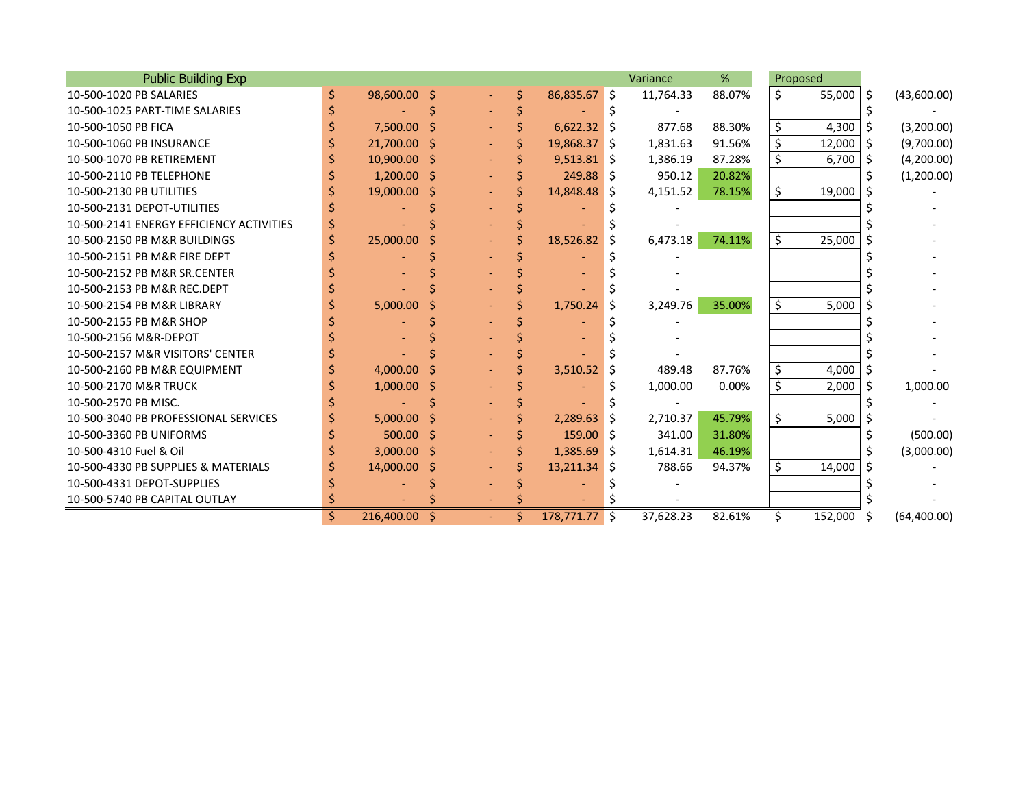| <b>Public Building Exp</b>               |    |                |    |                     |    |                |              | Variance  | %      |    | Proposed |     |             |
|------------------------------------------|----|----------------|----|---------------------|----|----------------|--------------|-----------|--------|----|----------|-----|-------------|
| 10-500-1020 PB SALARIES                  |    | 98,600.00 \$   |    |                     | Ś. | 86,835.67 \$   |              | 11,764.33 | 88.07% | Ś. | 55,000   | S.  | (43,600.00) |
| 10-500-1025 PART-TIME SALARIES           |    |                |    |                     |    |                |              |           |        |    |          |     |             |
| 10-500-1050 PB FICA                      |    | 7,500.00 \$    |    |                     |    | $6,622.32$ \$  |              | 877.68    | 88.30% | \$ | 4,300    | -S  | (3,200.00)  |
| 10-500-1060 PB INSURANCE                 |    | 21,700.00 \$   |    |                     |    | 19,868.37 \$   |              | 1,831.63  | 91.56% | \$ | 12,000   | -S  | (9,700.00)  |
| 10-500-1070 PB RETIREMENT                |    | $10,900.00$ \$ |    |                     |    | $9,513.81$ \$  |              | 1,386.19  | 87.28% | \$ | 6,700    | -\$ | (4,200.00)  |
| 10-500-2110 PB TELEPHONE                 |    | $1,200.00$ \$  |    |                     |    | $249.88$ \$    |              | 950.12    | 20.82% |    |          |     | (1,200.00)  |
| 10-500-2130 PB UTILITIES                 |    | 19,000.00      | -S |                     |    | 14,848.48 \$   |              | 4,151.52  | 78.15% | \$ | 19,000   |     |             |
| 10-500-2131 DEPOT-UTILITIES              |    |                |    |                     |    |                |              |           |        |    |          |     |             |
| 10-500-2141 ENERGY EFFICIENCY ACTIVITIES |    |                |    |                     |    |                |              |           |        |    |          |     |             |
| 10-500-2150 PB M&R BUILDINGS             |    | 25,000.00      |    |                     |    | 18,526.82      | <sub>S</sub> | 6,473.18  | 74.11% | \$ | 25,000   |     |             |
| 10-500-2151 PB M&R FIRE DEPT             |    |                |    |                     |    |                |              |           |        |    |          |     |             |
| 10-500-2152 PB M&R SR.CENTER             |    |                |    |                     |    |                |              |           |        |    |          |     |             |
| 10-500-2153 PB M&R REC.DEPT              |    |                |    |                     |    |                |              |           |        |    |          |     |             |
| 10-500-2154 PB M&R LIBRARY               |    | 5,000.00       |    |                     |    | 1,750.24       | S            | 3,249.76  | 35.00% | \$ | 5,000    |     |             |
| 10-500-2155 PB M&R SHOP                  |    |                |    |                     |    |                |              |           |        |    |          |     |             |
| 10-500-2156 M&R-DEPOT                    |    |                |    |                     |    |                |              |           |        |    |          |     |             |
| 10-500-2157 M&R VISITORS' CENTER         |    |                |    |                     |    |                |              |           |        |    |          |     |             |
| 10-500-2160 PB M&R EQUIPMENT             |    | 4,000.00       |    |                     |    | 3,510.52       |              | 489.48    | 87.76% | \$ | 4,000    |     |             |
| 10-500-2170 M&R TRUCK                    |    | 1,000.00       |    |                     |    |                |              | 1,000.00  | 0.00%  | \$ | 2,000    | S   | 1,000.00    |
| 10-500-2570 PB MISC.                     |    |                |    |                     |    |                |              |           |        |    |          |     |             |
| 10-500-3040 PB PROFESSIONAL SERVICES     |    | 5,000.00       |    |                     |    | 2,289.63       | S            | 2,710.37  | 45.79% | \$ | 5,000    |     |             |
| 10-500-3360 PB UNIFORMS                  |    | 500.00         | -Ś |                     |    | $159.00$ \$    |              | 341.00    | 31.80% |    |          |     | (500.00)    |
| 10-500-4310 Fuel & Oil                   |    | $3,000.00$ \$  |    |                     |    | $1,385.69$ \$  |              | 1,614.31  | 46.19% |    |          |     | (3,000.00)  |
| 10-500-4330 PB SUPPLIES & MATERIALS      |    | 14,000.00 \$   |    |                     |    | $13,211.34$ \$ |              | 788.66    | 94.37% | \$ | 14,000   |     |             |
| 10-500-4331 DEPOT-SUPPLIES               |    |                |    |                     |    |                |              |           |        |    |          |     |             |
| 10-500-5740 PB CAPITAL OUTLAY            |    |                |    |                     |    |                |              |           |        |    |          |     |             |
|                                          | Ś. | 216,400.00     | S  | $\omega_{\rm{eff}}$ | Ś  | 178,771.77 \$  |              | 37,628.23 | 82.61% | Ś. | 152,000  | S   | (64,400.00) |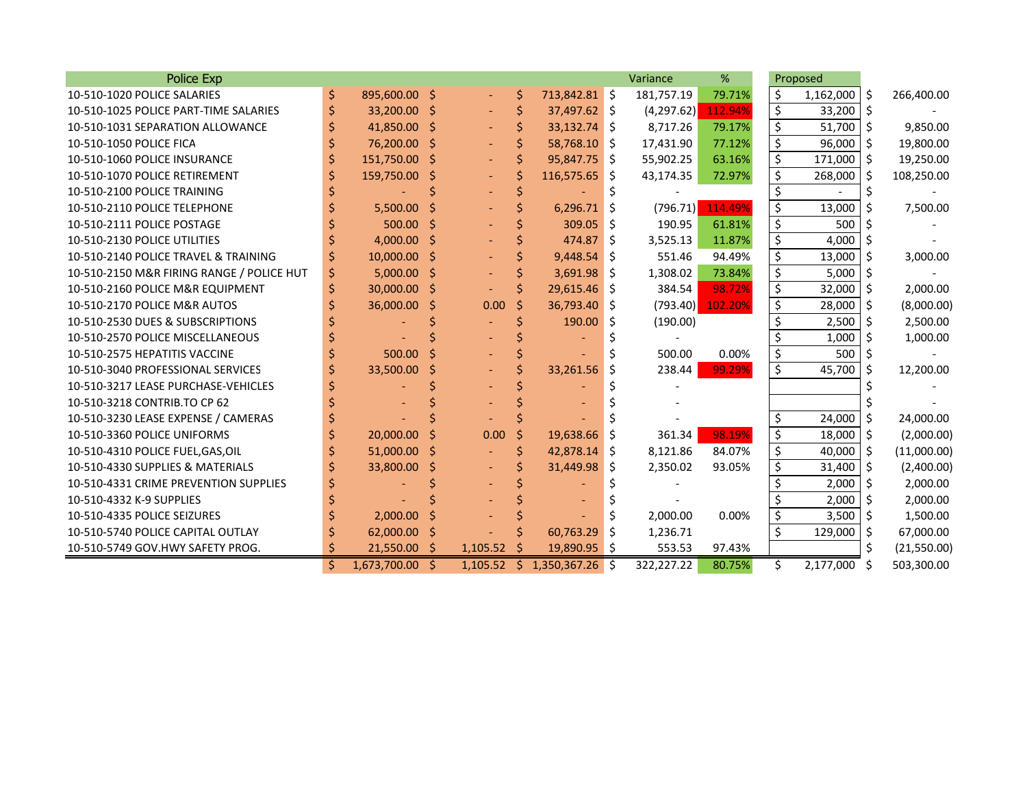| Police Exp                                |    |               |     |          |    |               |    | Variance   | %       |    | Proposed  |     |             |
|-------------------------------------------|----|---------------|-----|----------|----|---------------|----|------------|---------|----|-----------|-----|-------------|
| 10-510-1020 POLICE SALARIES               | \$ | 895,600.00 \$ |     |          | \$ | 713,842.81 \$ |    | 181,757.19 | 79.71%  | \$ | 1,162,000 | -\$ | 266,400.00  |
| 10-510-1025 POLICE PART-TIME SALARIES     |    | 33,200.00     | \$  |          | \$ | 37,497.62 \$  |    | (4,297.62) | 112.94% | \$ | 33,200    | -Ś  |             |
| 10-510-1031 SEPARATION ALLOWANCE          |    | 41,850.00 \$  |     |          |    | 33,132.74 \$  |    | 8,717.26   | 79.17%  | \$ | 51,700    | -Ś  | 9,850.00    |
| 10-510-1050 POLICE FICA                   |    | 76,200.00 \$  |     |          |    | 58,768.10 \$  |    | 17,431.90  | 77.12%  | \$ | 96,000    | -S  | 19,800.00   |
| 10-510-1060 POLICE INSURANCE              |    | 151,750.00 \$ |     |          |    | 95,847.75 \$  |    | 55,902.25  | 63.16%  | \$ | 171,000   | Ŝ.  | 19,250.00   |
| 10-510-1070 POLICE RETIREMENT             |    | 159,750.00 \$ |     |          |    | 116,575.65 \$ |    | 43,174.35  | 72.97%  | \$ | 268,000   | -\$ | 108,250.00  |
| 10-510-2100 POLICE TRAINING               |    |               |     |          |    |               |    |            |         | \$ |           | S   |             |
| 10-510-2110 POLICE TELEPHONE              |    | 5,500.00      | Ŝ   |          |    | 6,296.71      | \$ | (796.71)   | 114.49% | \$ | 13,000    | Ś   | 7,500.00    |
| 10-510-2111 POLICE POSTAGE                |    | 500.00        | Ŝ   |          |    | 309.05        | Ŝ. | 190.95     | 61.81%  | \$ | 500       | -S  |             |
| 10-510-2130 POLICE UTILITIES              |    | $4,000.00$ \$ |     |          |    | 474.87        | Ŝ. | 3,525.13   | 11.87%  | \$ | 4,000     |     |             |
| 10-510-2140 POLICE TRAVEL & TRAINING      |    | 10,000.00 \$  |     |          |    | 9,448.54      | Ŝ. | 551.46     | 94.49%  | \$ | 13,000    | -\$ | 3,000.00    |
| 10-510-2150 M&R FIRING RANGE / POLICE HUT | S  | 5,000.00      | Ŝ   |          |    | 3,691.98      | Ŝ. | 1,308.02   | 73.84%  | \$ | 5,000     | Ŝ   |             |
| 10-510-2160 POLICE M&R EQUIPMENT          |    | 30,000.00     | Ŝ   |          |    | 29,615.46     | -S | 384.54     | 98.72%  | \$ | 32,000    | Ŝ.  | 2,000.00    |
| 10-510-2170 POLICE M&R AUTOS              |    | 36,000.00     | Ŝ   | 0.00     | Ŝ  | 36,793.40     | S  | (793.40)   | 102.20% | \$ | 28,000    | Ŝ   | (8,000.00)  |
| 10-510-2530 DUES & SUBSCRIPTIONS          |    |               |     |          |    | 190.00        | \$ | (190.00)   |         | \$ | 2,500     | Ŝ.  | 2,500.00    |
| 10-510-2570 POLICE MISCELLANEOUS          |    |               |     |          |    |               |    |            |         | \$ | 1,000     | -\$ | 1,000.00    |
| 10-510-2575 HEPATITIS VACCINE             |    | 500.00        | Ś   |          |    |               |    | 500.00     | 0.00%   | \$ | 500       | -Ś  |             |
| 10-510-3040 PROFESSIONAL SERVICES         |    | 33,500.00     | \$  |          |    | 33,261.56     | \$ | 238.44     | 99.29%  | \$ | 45,700    |     | 12,200.00   |
| 10-510-3217 LEASE PURCHASE-VEHICLES       |    |               |     |          |    |               |    |            |         |    |           |     |             |
| 10-510-3218 CONTRIB.TO CP 62              |    |               |     |          |    |               |    |            |         |    |           |     |             |
| 10-510-3230 LEASE EXPENSE / CAMERAS       |    |               |     |          |    |               |    |            |         | \$ | 24,000    | Ŝ.  | 24,000.00   |
| 10-510-3360 POLICE UNIFORMS               |    | 20,000.00     | Ŝ   | 0.00     | Ŝ  | 19,638.66     | Ŝ. | 361.34     | 98.19%  | \$ | 18,000    | Ŝ.  | (2,000.00)  |
| 10-510-4310 POLICE FUEL, GAS, OIL         |    | 51,000.00     | -\$ |          |    | 42,878.14     | S. | 8,121.86   | 84.07%  | \$ | 40,000    | -\$ | (11,000.00) |
| 10-510-4330 SUPPLIES & MATERIALS          |    | 33,800.00     | Ŝ.  |          |    | 31,449.98     | Ŝ. | 2,350.02   | 93.05%  | \$ | 31,400    | Ŝ.  | (2,400.00)  |
| 10-510-4331 CRIME PREVENTION SUPPLIES     |    |               |     |          |    |               |    |            |         | Ś  | 2,000     | Ŝ.  | 2,000.00    |
| 10-510-4332 K-9 SUPPLIES                  |    |               |     |          |    |               |    |            |         | \$ | 2,000     | -Ś  | 2,000.00    |
| 10-510-4335 POLICE SEIZURES               |    | 2,000.00      |     |          |    |               |    | 2,000.00   | 0.00%   | \$ | 3,500     | \$  | 1,500.00    |
| 10-510-5740 POLICE CAPITAL OUTLAY         |    | 62,000.00     | \$  |          |    | 60,763.29     | \$ | 1,236.71   |         | \$ | 129,000   | -\$ | 67,000.00   |
| 10-510-5749 GOV.HWY SAFETY PROG.          | S  | 21,550.00     | S   | 1,105.52 |    | 19,890.95 \$  |    | 553.53     | 97.43%  |    |           | Ś.  | (21,550.00) |
|                                           | Ś  | 1,673,700.00  | -Ŝ  | 1,105.52 | Ŝ. | 1,350,367.26  | -Ŝ | 322.227.22 | 80.75%  | Ś. | 2.177.000 | Ŝ   | 503,300.00  |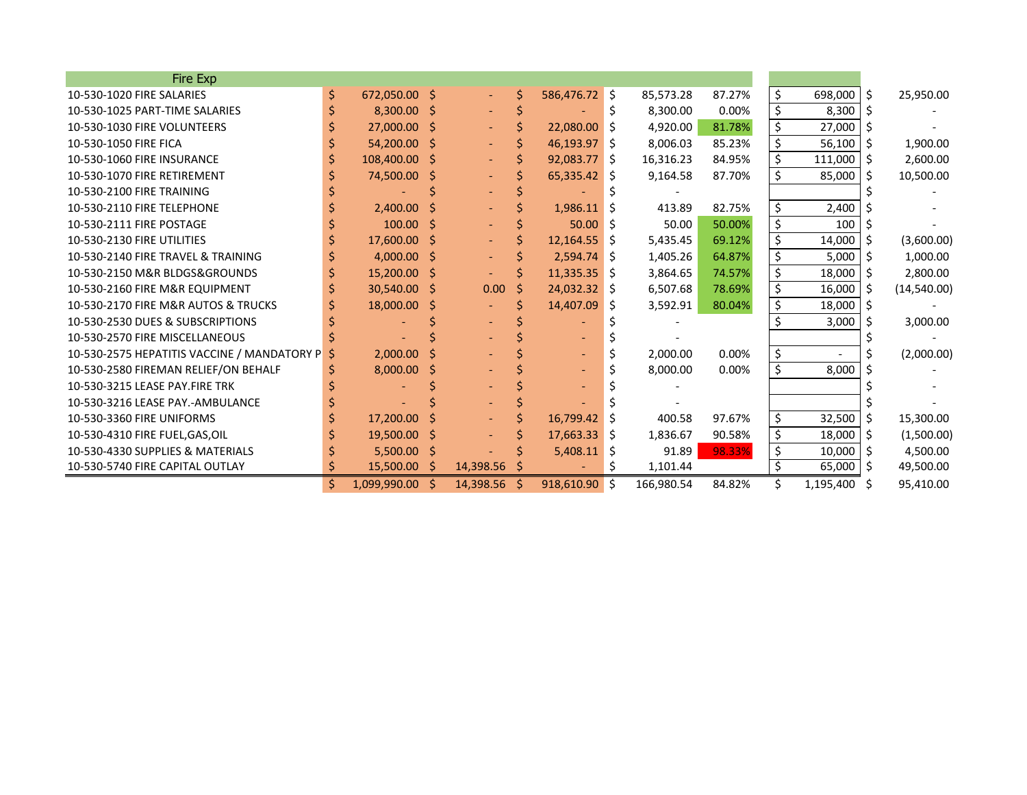| Fire Exp                                    |    |                |    |           |    |                |    |            |        |    |                          |     |             |
|---------------------------------------------|----|----------------|----|-----------|----|----------------|----|------------|--------|----|--------------------------|-----|-------------|
| 10-530-1020 FIRE SALARIES                   | \$ | 672,050.00 \$  |    | $\sim$    | \$ | 586,476.72 \$  |    | 85,573.28  | 87.27% | \$ | 698,000                  | Ŝ.  | 25,950.00   |
| 10-530-1025 PART-TIME SALARIES              |    | $8,300.00$ \$  |    |           |    |                | S  | 8,300.00   | 0.00%  | \$ | 8,300                    | -S  |             |
| 10-530-1030 FIRE VOLUNTEERS                 |    | 27,000.00 \$   |    |           |    | 22,080.00 \$   |    | 4,920.00   | 81.78% | \$ | 27,000                   |     |             |
| 10-530-1050 FIRE FICA                       |    | 54,200.00 \$   |    |           |    | 46,193.97 \$   |    | 8,006.03   | 85.23% | \$ | 56,100                   | -S  | 1,900.00    |
| 10-530-1060 FIRE INSURANCE                  |    | 108,400.00 \$  |    |           |    | $92,083.77$ \$ |    | 16,316.23  | 84.95% | \$ | 111,000                  | Ŝ.  | 2,600.00    |
| 10-530-1070 FIRE RETIREMENT                 |    | 74,500.00 \$   |    |           |    | $65,335.42$ \$ |    | 9,164.58   | 87.70% | \$ | 85,000                   | Ŝ   | 10,500.00   |
| 10-530-2100 FIRE TRAINING                   |    |                |    |           |    |                |    |            |        |    |                          |     |             |
| 10-530-2110 FIRE TELEPHONE                  |    | 2,400.00       |    |           |    | 1,986.11       | -S | 413.89     | 82.75% | \$ | 2,400                    |     |             |
| 10-530-2111 FIRE POSTAGE                    |    | $100.00$ \$    |    |           |    | 50.00          | -S | 50.00      | 50.00% | \$ | 100                      |     |             |
| 10-530-2130 FIRE UTILITIES                  |    | 17,600.00 \$   |    |           |    | $12,164.55$ \$ |    | 5,435.45   | 69.12% | \$ | 14,000                   |     | (3,600.00)  |
| 10-530-2140 FIRE TRAVEL & TRAINING          |    | $4,000.00$ \$  |    |           |    | $2,594.74$ \$  |    | 1,405.26   | 64.87% | \$ | 5,000                    | Ŝ.  | 1,000.00    |
| 10-530-2150 M&R BLDGS&GROUNDS               |    | 15,200.00 \$   |    |           |    | $11,335.35$ \$ |    | 3,864.65   | 74.57% | \$ | 18,000                   | -\$ | 2,800.00    |
| 10-530-2160 FIRE M&R EQUIPMENT              |    | 30,540.00 \$   |    | 0.00      | Ŝ  | 24,032.32 \$   |    | 6,507.68   | 78.69% | \$ | 16,000                   |     | (14,540.00) |
| 10-530-2170 FIRE M&R AUTOS & TRUCKS         |    | 18,000.00 \$   |    |           |    | 14,407.09 \$   |    | 3,592.91   | 80.04% | \$ | 18,000                   | -S  |             |
| 10-530-2530 DUES & SUBSCRIPTIONS            |    |                |    |           |    |                |    |            |        | Ś  | 3,000                    |     | 3,000.00    |
| 10-530-2570 FIRE MISCELLANEOUS              |    |                |    |           |    |                |    |            |        |    |                          |     |             |
| 10-530-2575 HEPATITIS VACCINE / MANDATORY P |    | 2,000.00       |    |           |    |                |    | 2,000.00   | 0.00%  | \$ | $\overline{\phantom{a}}$ |     | (2,000.00)  |
| 10-530-2580 FIREMAN RELIEF/ON BEHALF        |    | 8,000.00       | S  |           |    |                |    | 8,000.00   | 0.00%  | \$ | 8,000                    |     |             |
| 10-530-3215 LEASE PAY.FIRE TRK              |    |                |    |           |    |                |    |            |        |    |                          |     |             |
| 10-530-3216 LEASE PAY.-AMBULANCE            |    |                |    |           |    |                |    |            |        |    |                          |     |             |
| 10-530-3360 FIRE UNIFORMS                   |    | $17,200.00$ \$ |    |           |    | 16,799.42      | -S | 400.58     | 97.67% | \$ | 32,500                   |     | 15,300.00   |
| 10-530-4310 FIRE FUEL, GAS, OIL             |    | 19,500.00 \$   |    |           |    | $17,663.33$ \$ |    | 1,836.67   | 90.58% | \$ | 18,000                   | -\$ | (1,500.00)  |
| 10-530-4330 SUPPLIES & MATERIALS            |    | $5,500.00$ \$  |    |           |    | $5,408.11$ \$  |    | 91.89      | 98.33% | \$ | 10,000                   | -\$ | 4,500.00    |
| 10-530-5740 FIRE CAPITAL OUTLAY             |    | 15,500.00      | -S | 14,398.56 | -S |                | S  | 1,101.44   |        | \$ | 65,000                   | -S  | 49,500.00   |
|                                             | Ś. | 1,099,990.00   |    | 14,398.56 | Ŝ. | 918,610.90 \$  |    | 166,980.54 | 84.82% |    | 1,195,400                | Ŝ   | 95,410.00   |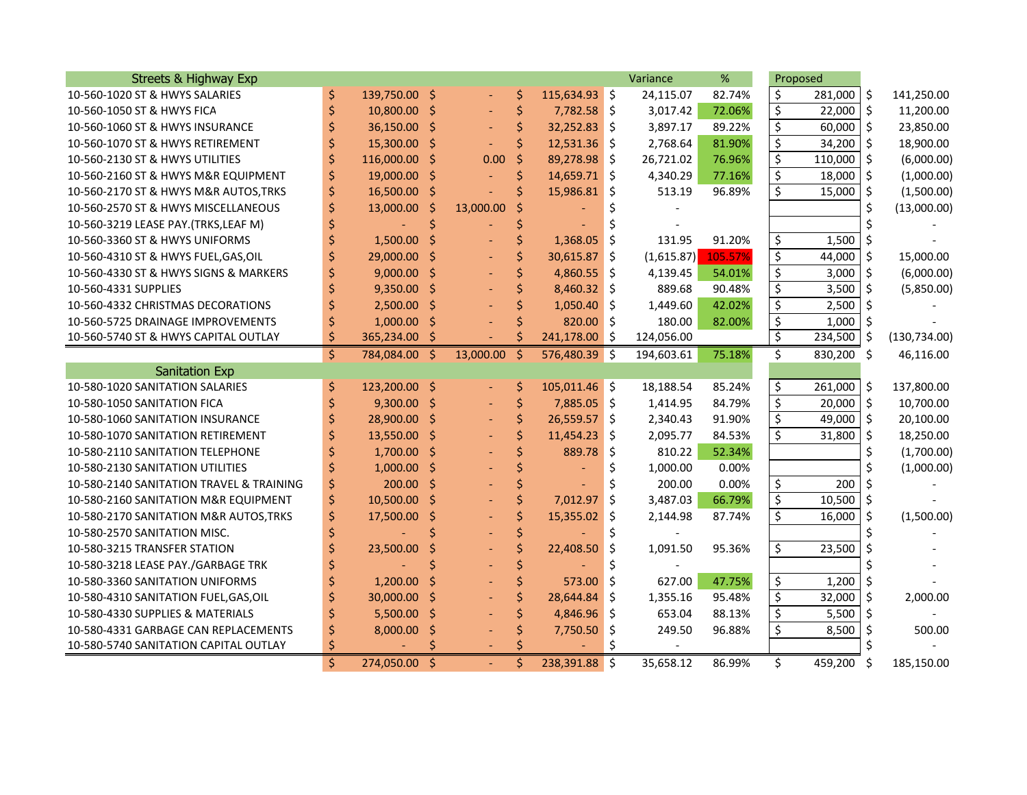| <b>Streets &amp; Highway Exp</b>         |    |               |         |           |                     |                |            | Variance   | %       | Proposed               |            |                     |               |
|------------------------------------------|----|---------------|---------|-----------|---------------------|----------------|------------|------------|---------|------------------------|------------|---------------------|---------------|
| 10-560-1020 ST & HWYS SALARIES           | \$ | 139,750.00 \$ |         |           | \$                  | 115,634.93 \$  |            | 24,115.07  | 82.74%  | \$                     | 281,000    | -\$                 | 141,250.00    |
| 10-560-1050 ST & HWYS FICA               | \$ | 10,800.00 \$  |         |           | \$                  | 7,782.58 \$    |            | 3,017.42   | 72.06%  | \$                     | 22,000     | $\ddot{\varsigma}$  | 11,200.00     |
| 10-560-1060 ST & HWYS INSURANCE          | \$ | 36,150.00 \$  |         |           | \$                  | $32,252.83$ \$ |            | 3,897.17   | 89.22%  | \$                     | 60,000     | $\zeta$             | 23,850.00     |
| 10-560-1070 ST & HWYS RETIREMENT         | \$ | 15,300.00 \$  |         |           | \$                  | $12,531.36$ \$ |            | 2,768.64   | 81.90%  | \$                     | 34,200     | $\zeta$             | 18,900.00     |
| 10-560-2130 ST & HWYS UTILITIES          | \$ | 116,000.00    | $\zeta$ | 0.00      | $\zeta$             | 89,278.98      | \$         | 26,721.02  | 76.96%  | \$                     | 110,000    | $\zeta$             | (6,000.00)    |
| 10-560-2160 ST & HWYS M&R EQUIPMENT      | \$ | 19,000.00     | \$      |           | \$                  | 14,659.71      | Ŝ.         | 4,340.29   | 77.16%  | \$                     | 18,000     | $\zeta$             | (1,000.00)    |
| 10-560-2170 ST & HWYS M&R AUTOS, TRKS    | \$ | 16,500.00 \$  |         |           | Ś                   | 15,986.81      | \$         | 513.19     | 96.89%  | \$                     | 15,000     | $\zeta$             | (1,500.00)    |
| 10-560-2570 ST & HWYS MISCELLANEOUS      |    | 13,000.00     | Ś       | 13,000.00 |                     |                | Ś.         |            |         |                        |            | \$                  | (13,000.00)   |
| 10-560-3219 LEASE PAY.(TRKS, LEAF M)     |    |               |         |           |                     |                |            |            |         |                        |            |                     |               |
| 10-560-3360 ST & HWYS UNIFORMS           |    | 1,500.00      | \$      |           | Ś                   | 1,368.05       | \$         | 131.95     | 91.20%  | \$                     | 1,500      | \$                  |               |
| 10-560-4310 ST & HWYS FUEL, GAS, OIL     |    | 29,000.00     | Ŝ       |           | Ś                   | 30,615.87      | Ŝ.         | (1,615.87) | 105.57% | \$                     | 44,000     | -\$                 | 15,000.00     |
| 10-560-4330 ST & HWYS SIGNS & MARKERS    |    | $9,000.00$ \$ |         |           | Ś                   | 4,860.55       | Ŝ.         | 4,139.45   | 54.01%  | \$                     | 3,000      | $\zeta$             | (6,000.00)    |
| 10-560-4331 SUPPLIES                     |    | $9,350.00$ \$ |         |           | Ś                   | 8,460.32       | Ŝ.         | 889.68     | 90.48%  | \$                     | 3,500      | \$                  | (5,850.00)    |
| 10-560-4332 CHRISTMAS DECORATIONS        |    | 2,500.00 \$   |         |           |                     | 1,050.40       | Ŝ.         | 1,449.60   | 42.02%  | $\boldsymbol{\zeta}$   | 2,500      | \$                  |               |
| 10-560-5725 DRAINAGE IMPROVEMENTS        | \$ | $1,000.00$ \$ |         |           |                     | 820.00 \$      |            | 180.00     | 82.00%  | \$                     | 1,000      | Ŝ.                  |               |
| 10-560-5740 ST & HWYS CAPITAL OUTLAY     | Ś  | 365,234.00    |         |           | Ś                   | 241,178.00     | Ŝ.         | 124,056.00 |         | \$                     | 234,500    | -\$                 | (130, 734.00) |
|                                          | \$ | 784,084.00    | -\$     | 13,000.00 | Ŝ.                  | 576,480.39 \$  |            | 194,603.61 | 75.18%  | Ś.                     | 830,200    | Ŝ.                  | 46,116.00     |
| <b>Sanitation Exp</b>                    |    |               |         |           |                     |                |            |            |         |                        |            |                     |               |
| 10-580-1020 SANITATION SALARIES          | \$ | 123,200.00 \$ |         |           | \$                  | 105,011.46 \$  |            | 18,188.54  | 85.24%  | \$                     | 261,000    | -\$                 | 137,800.00    |
| 10-580-1050 SANITATION FICA              |    | $9,300.00$ \$ |         |           | $\ddot{\mathsf{S}}$ | 7,885.05 \$    |            | 1,414.95   | 84.79%  | $\overline{\varsigma}$ | 20,000     | $\mathsf{\dot{S}}$  | 10,700.00     |
| 10-580-1060 SANITATION INSURANCE         |    | 28,900.00 \$  |         |           | \$                  | 26,559.57 \$   |            | 2,340.43   | 91.90%  | \$                     | 49,000     | $\ddot{\mathsf{S}}$ | 20,100.00     |
| 10-580-1070 SANITATION RETIREMENT        |    | 13,550.00 \$  |         |           | Ś                   | 11,454.23      | Ŝ.         | 2,095.77   | 84.53%  | \$                     | 31,800     | \$                  | 18,250.00     |
| 10-580-2110 SANITATION TELEPHONE         |    | $1,700.00$ \$ |         |           |                     | 889.78         | \$         | 810.22     | 52.34%  |                        |            | \$                  | (1,700.00)    |
| 10-580-2130 SANITATION UTILITIES         |    | 1,000.00      | -\$     |           |                     |                | \$         | 1,000.00   | 0.00%   |                        |            | \$                  | (1,000.00)    |
| 10-580-2140 SANITATION TRAVEL & TRAINING | \$ | 200.00        | -\$     |           |                     |                | \$         | 200.00     | 0.00%   | \$                     | 200        | Ś.                  |               |
| 10-580-2160 SANITATION M&R EQUIPMENT     | \$ | 10,500.00     | - \$    |           | \$                  | 7,012.97       | Ŝ.         | 3,487.03   | 66.79%  | $\overline{\varsigma}$ | 10,500     | $\zeta$             |               |
| 10-580-2170 SANITATION M&R AUTOS, TRKS   |    | 17,500.00     | \$      |           | \$                  | 15,355.02      | \$         | 2,144.98   | 87.74%  | \$                     | 16,000     | $\zeta$             | (1,500.00)    |
| 10-580-2570 SANITATION MISC.             |    |               |         |           |                     |                |            |            |         |                        |            |                     |               |
| 10-580-3215 TRANSFER STATION             |    | 23,500.00     |         |           |                     | 22,408.50      | \$         | 1,091.50   | 95.36%  | \$                     | 23,500     | \$                  |               |
| 10-580-3218 LEASE PAY./GARBAGE TRK       |    |               |         |           |                     |                |            |            |         |                        |            |                     |               |
| 10-580-3360 SANITATION UNIFORMS          |    | 1,200.00      | \$      |           | \$                  | 573.00         | Ŝ.         | 627.00     | 47.75%  | \$                     | 1,200      | \$                  |               |
| 10-580-4310 SANITATION FUEL, GAS, OIL    |    | 30,000.00     | \$      |           | \$                  | 28,644.84      | Ŝ.         | 1,355.16   | 95.48%  | $\overline{\xi}$       | 32,000     | \$                  | 2,000.00      |
| 10-580-4330 SUPPLIES & MATERIALS         |    | 5,500.00      | \$      |           |                     | 4,846.96       | $\vert$ \$ | 653.04     | 88.13%  | \$                     | $5,500$ \$ |                     |               |
| 10-580-4331 GARBAGE CAN REPLACEMENTS     |    | 8,000.00      | \$      |           |                     | 7,750.50       | \$         | 249.50     | 96.88%  | \$                     | 8,500      | $\zeta$             | 500.00        |
| 10-580-5740 SANITATION CAPITAL OUTLAY    |    |               |         |           |                     |                |            |            |         |                        |            |                     |               |
|                                          | \$ | 274,050.00    | Ś.      |           | Ś                   | 238,391.88 \$  |            | 35.658.12  | 86.99%  | Ś.                     | 459,200    | Ś.                  | 185.150.00    |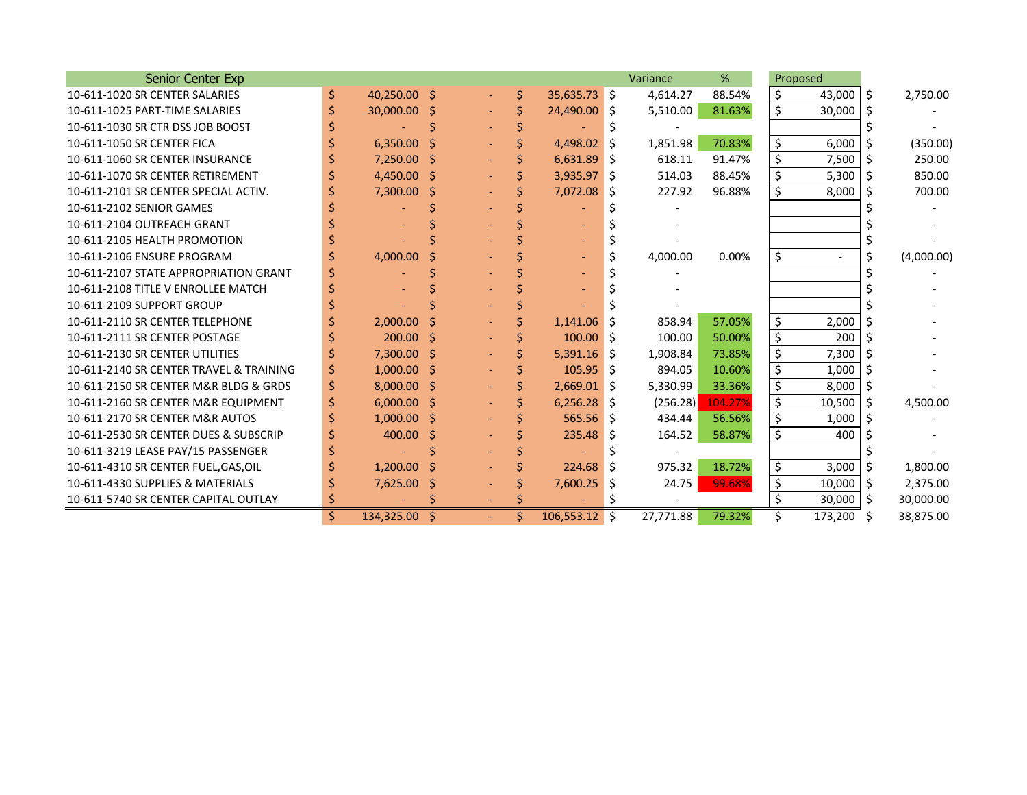| Senior Center Exp                       |    |               |   |                     |    |                 |     | Variance  | %       |         | Proposed |    |            |
|-----------------------------------------|----|---------------|---|---------------------|----|-----------------|-----|-----------|---------|---------|----------|----|------------|
| 10-611-1020 SR CENTER SALARIES          | \$ | 40,250.00 \$  |   |                     | \$ | $35,635.73$ \$  |     | 4,614.27  | 88.54%  | \$      | 43,000   | Ŝ. | 2,750.00   |
| 10-611-1025 PART-TIME SALARIES          |    | 30,000.00 \$  |   |                     |    | 24,490.00 \$    |     | 5,510.00  | 81.63%  | \$      | 30,000   |    |            |
| 10-611-1030 SR CTR DSS JOB BOOST        |    |               |   |                     |    |                 |     |           |         |         |          |    |            |
| 10-611-1050 SR CENTER FICA              |    | 6,350.00      |   |                     |    | 4,498.02 \$     |     | 1,851.98  | 70.83%  | \$      | 6,000    | Ŝ. | (350.00)   |
| 10-611-1060 SR CENTER INSURANCE         |    | $7,250.00$ \$ |   |                     |    | 6,631.89        | I\$ | 618.11    | 91.47%  | \$      | 7,500    | Ŝ  | 250.00     |
| 10-611-1070 SR CENTER RETIREMENT        |    | 4,450.00 \$   |   |                     |    | $3,935.97$ \$   |     | 514.03    | 88.45%  | \$      | 5,300    | Ŝ  | 850.00     |
| 10-611-2101 SR CENTER SPECIAL ACTIV.    |    | 7,300.00      | Ŝ |                     |    | 7,072.08        | Ŝ.  | 227.92    | 96.88%  | \$      | 8,000    |    | 700.00     |
| 10-611-2102 SENIOR GAMES                |    |               |   |                     |    |                 |     |           |         |         |          |    |            |
| 10-611-2104 OUTREACH GRANT              |    |               |   |                     |    |                 |     |           |         |         |          |    |            |
| 10-611-2105 HEALTH PROMOTION            |    |               |   |                     |    |                 |     |           |         |         |          |    |            |
| 10-611-2106 ENSURE PROGRAM              |    | 4,000.00      |   |                     |    |                 |     | 4,000.00  | 0.00%   | \$      |          |    | (4,000.00) |
| 10-611-2107 STATE APPROPRIATION GRANT   |    |               |   |                     |    |                 |     |           |         |         |          |    |            |
| 10-611-2108 TITLE V ENROLLEE MATCH      |    |               |   |                     |    |                 |     |           |         |         |          |    |            |
| 10-611-2109 SUPPORT GROUP               |    |               |   |                     |    |                 |     |           |         |         |          |    |            |
| 10-611-2110 SR CENTER TELEPHONE         |    | 2,000.00      |   |                     |    | 1,141.06        |     | 858.94    | 57.05%  | \$      | 2,000    |    |            |
| 10-611-2111 SR CENTER POSTAGE           |    | 200.00        | Ŝ |                     |    | 100.00          | Ŝ.  | 100.00    | 50.00%  | \$      | 200      |    |            |
| 10-611-2130 SR CENTER UTILITIES         |    | 7,300.00 \$   |   |                     |    | $5,391.16$ \$   |     | 1,908.84  | 73.85%  | \$      | 7,300    |    |            |
| 10-611-2140 SR CENTER TRAVEL & TRAINING |    | $1,000.00$ \$ |   |                     |    | $105.95$ \$     |     | 894.05    | 10.60%  | \$      | 1,000    |    |            |
| 10-611-2150 SR CENTER M&R BLDG & GRDS   | Ś  | $8,000.00$ \$ |   |                     |    | $2,669.01$ \$   |     | 5,330.99  | 33.36%  | \$      | 8,000    |    |            |
| 10-611-2160 SR CENTER M&R EQUIPMENT     |    | $6,000.00$ \$ |   |                     |    | $6,256.28$ \$   |     | (256.28)  | 104.27% | $\zeta$ | 10,500   | Ŝ  | 4,500.00   |
| 10-611-2170 SR CENTER M&R AUTOS         |    | $1,000.00$ \$ |   |                     |    | $565.56$ \$     |     | 434.44    | 56.56%  | \$      | 1,000    |    |            |
| 10-611-2530 SR CENTER DUES & SUBSCRIP   |    | 400.00        | Ŝ |                     |    | 235.48          | S   | 164.52    | 58.87%  | \$      | 400      |    |            |
| 10-611-3219 LEASE PAY/15 PASSENGER      |    |               |   |                     |    |                 |     |           |         |         |          |    |            |
| 10-611-4310 SR CENTER FUEL, GAS, OIL    |    | $1,200.00$ \$ |   |                     |    | 224.68          | Ŝ   | 975.32    | 18.72%  | \$      | 3,000    |    | 1,800.00   |
| 10-611-4330 SUPPLIES & MATERIALS        |    | 7,625.00      |   |                     |    | 7,600.25        | S   | 24.75     | 99.68%  | \$      | 10,000   | Ŝ. | 2,375.00   |
| 10-611-5740 SR CENTER CAPITAL OUTLAY    |    |               |   |                     |    |                 |     |           |         | \$      | 30,000   | Ŝ  | 30,000.00  |
|                                         | Ś. | 134,325.00    |   | $\omega_{\rm{eff}}$ | Ś. | $106,553.12$ \$ |     | 27,771.88 | 79.32%  |         | 173,200  | Ŝ  | 38,875.00  |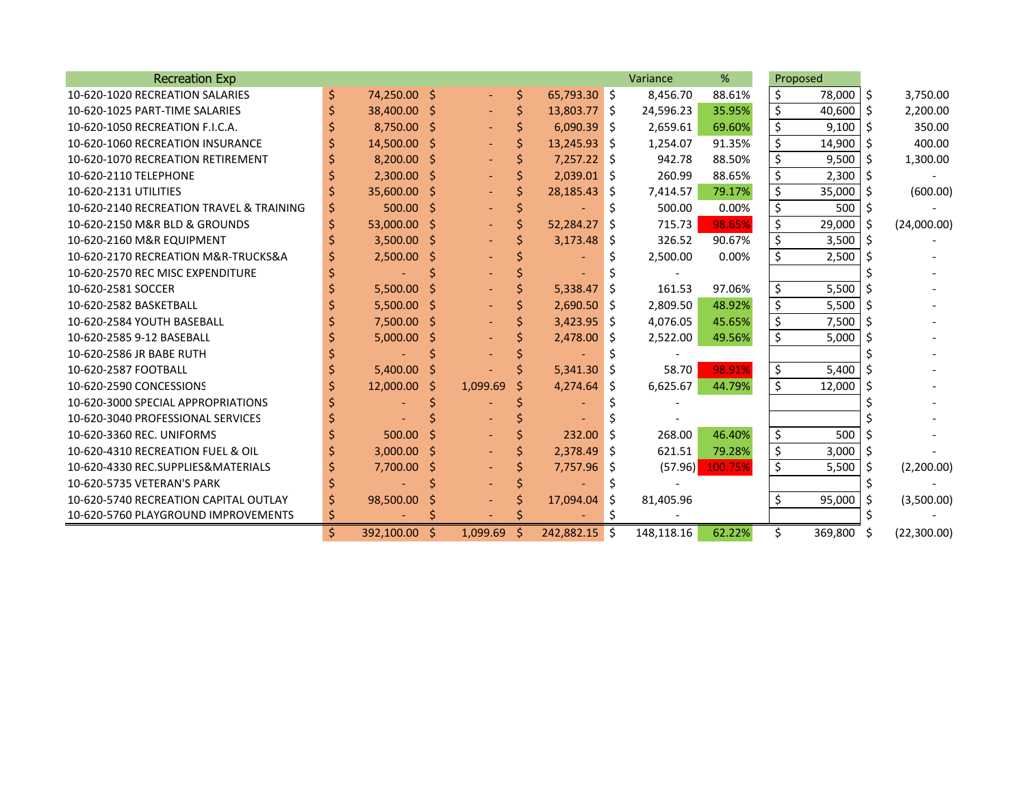| <b>Recreation Exp</b>                    |    |               |    |          |    |                |     | Variance   | %       |    | Proposed |     |             |
|------------------------------------------|----|---------------|----|----------|----|----------------|-----|------------|---------|----|----------|-----|-------------|
| 10-620-1020 RECREATION SALARIES          | \$ | 74,250.00 \$  |    |          | \$ | 65,793.30 \$   |     | 8,456.70   | 88.61%  | \$ | 78,000   | Ŝ.  | 3,750.00    |
| 10-620-1025 PART-TIME SALARIES           |    | 38,400.00 \$  |    |          | Ś  | 13,803.77 \$   |     | 24,596.23  | 35.95%  | \$ | 40,600   | Ŝ.  | 2,200.00    |
| 10-620-1050 RECREATION F.I.C.A.          |    | 8,750.00 \$   |    |          |    | $6,090.39$ \$  |     | 2,659.61   | 69.60%  | \$ | 9,100    | -Ŝ  | 350.00      |
| 10-620-1060 RECREATION INSURANCE         |    | 14,500.00 \$  |    |          |    | $13,245.93$ \$ |     | 1,254.07   | 91.35%  | \$ | 14,900   | -\$ | 400.00      |
| 10-620-1070 RECREATION RETIREMENT        |    | $8,200.00$ \$ |    |          |    | $7,257.22$ \$  |     | 942.78     | 88.50%  | \$ | 9,500    | -Ś  | 1,300.00    |
| 10-620-2110 TELEPHONE                    |    | $2,300.00$ \$ |    |          |    | $2,039.01$ \$  |     | 260.99     | 88.65%  | \$ | 2,300    | -Ś  |             |
| 10-620-2131 UTILITIES                    |    | 35,600.00 \$  |    |          |    | 28,185.43      | - Ś | 7,414.57   | 79.17%  | \$ | 35,000   | -Ś  | (600.00)    |
| 10-620-2140 RECREATION TRAVEL & TRAINING | S  | $500.00$ \$   |    |          |    |                |     | 500.00     | 0.00%   | \$ | 500      | -Ś  |             |
| 10-620-2150 M&R BLD & GROUNDS            |    | 53,000.00 \$  |    |          |    | 52,284.27      | -Ś  | 715.73     | 98.65%  | \$ | 29,000   | -\$ | (24,000.00) |
| 10-620-2160 M&R EQUIPMENT                |    | $3,500.00$ \$ |    |          |    | $3,173.48$ \$  |     | 326.52     | 90.67%  | \$ | 3,500    | -Ś  |             |
| 10-620-2170 RECREATION M&R-TRUCKS&A      |    | $2,500.00$ \$ |    |          |    |                |     | 2,500.00   | 0.00%   | \$ | 2,500    |     |             |
| 10-620-2570 REC MISC EXPENDITURE         |    |               |    |          |    |                |     |            |         |    |          |     |             |
| 10-620-2581 SOCCER                       |    | 5,500.00      | -S |          |    | 5,338.47       | -S  | 161.53     | 97.06%  | \$ | 5,500    |     |             |
| 10-620-2582 BASKETBALL                   |    | $5,500.00$ \$ |    |          |    | $2,690.50$ \$  |     | 2,809.50   | 48.92%  | \$ | 5,500    | S   |             |
| 10-620-2584 YOUTH BASEBALL               |    | $7,500.00$ \$ |    |          |    | $3,423.95$ \$  |     | 4,076.05   | 45.65%  | \$ | 7,500    | Ŝ   |             |
| 10-620-2585 9-12 BASEBALL                |    | $5,000.00$ \$ |    |          |    | $2,478.00$ \$  |     | 2,522.00   | 49.56%  | \$ | 5,000    |     |             |
| 10-620-2586 JR BABE RUTH                 |    |               |    |          |    |                |     |            |         |    |          |     |             |
| 10-620-2587 FOOTBALL                     |    | $5,400.00$ \$ |    |          |    | $5,341.30$ \$  |     | 58.70      | 98.91%  | \$ | 5,400    |     |             |
| 10-620-2590 CONCESSIONS                  |    | 12,000.00     | -Ŝ | 1,099.69 | Ś  | $4,274.64$ \$  |     | 6,625.67   | 44.79%  | \$ | 12,000   | Ŝ.  |             |
| 10-620-3000 SPECIAL APPROPRIATIONS       |    |               |    |          |    |                |     |            |         |    |          |     |             |
| 10-620-3040 PROFESSIONAL SERVICES        |    |               |    |          |    |                |     |            |         |    |          |     |             |
| 10-620-3360 REC. UNIFORMS                |    | 500.00        |    |          |    | 232.00         | Ŝ   | 268.00     | 46.40%  | \$ | 500      |     |             |
| 10-620-4310 RECREATION FUEL & OIL        |    | $3,000.00$ \$ |    |          |    | $2,378.49$ \$  |     | 621.51     | 79.28%  | \$ | 3,000    | -\$ |             |
| 10-620-4330 REC.SUPPLIES&MATERIALS       |    | 7,700.00      | -S |          |    | $7,757.96$ \$  |     | (57.96)    | 100.75% | \$ | 5,500    | -S  | (2,200.00)  |
| 10-620-5735 VETERAN'S PARK               |    |               |    |          |    |                |     |            |         |    |          |     |             |
| 10-620-5740 RECREATION CAPITAL OUTLAY    |    | 98,500.00     |    |          |    | 17,094.04      | -S  | 81,405.96  |         | Ś. | 95,000   | S   | (3,500.00)  |
| 10-620-5760 PLAYGROUND IMPROVEMENTS      |    |               |    |          |    |                |     |            |         |    |          |     |             |
|                                          | \$ | 392,100.00 \$ |    | 1,099.69 | Ŝ  | 242,882.15 \$  |     | 148,118.16 | 62.22%  | Ś  | 369,800  | S   | (22,300.00) |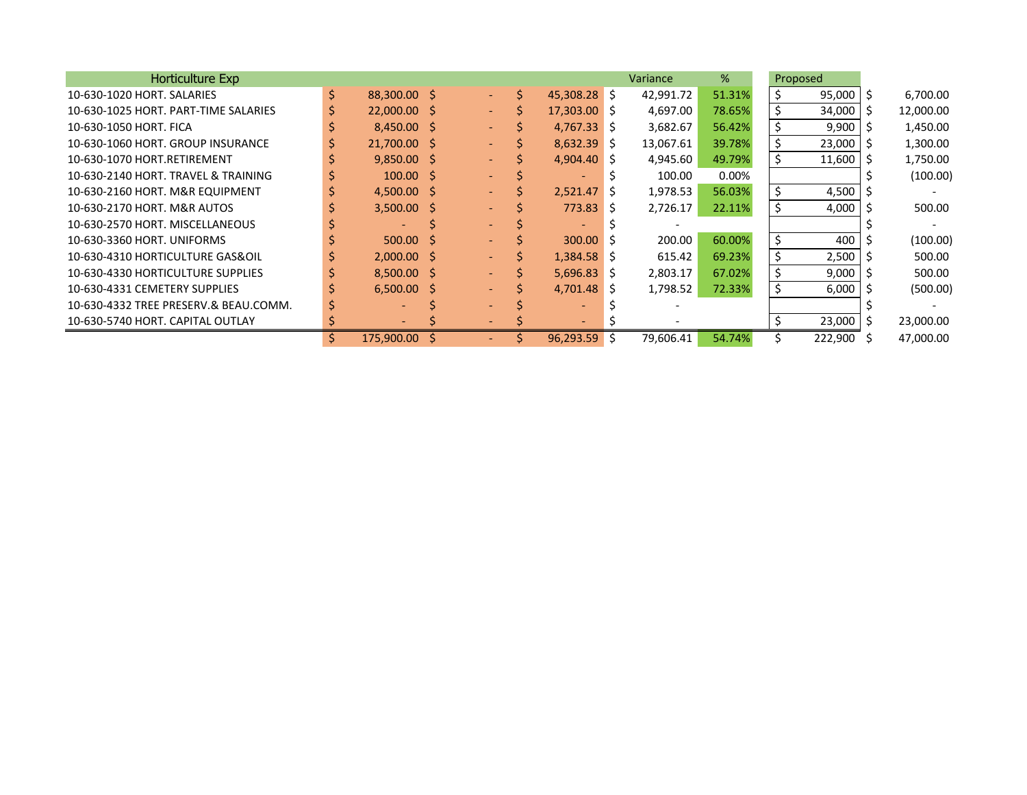| Horticulture Exp                      |    |                          |                 |   |                          |    | Variance  | %      |    | Proposed |           |
|---------------------------------------|----|--------------------------|-----------------|---|--------------------------|----|-----------|--------|----|----------|-----------|
| 10-630-1020 HORT. SALARIES            | \$ | 88,300.00 \$             | $\sim$ $-$      | Ś | 45,308.28 \$             |    | 42,991.72 | 51.31% |    | 95,000   | 6,700.00  |
| 10-630-1025 HORT, PART-TIME SALARIES  |    | 22,000.00 \$             | $\sim$ 10 $\pm$ |   | $17,303.00$ \$           |    | 4,697.00  | 78.65% |    | 34,000   | 12,000.00 |
| 10-630-1050 HORT. FICA                |    | $8,450.00$ \$            | $\sim$ $^{-1}$  |   | $4,767.33$ \$            |    | 3,682.67  | 56.42% |    | 9,900    | 1,450.00  |
| 10-630-1060 HORT. GROUP INSURANCE     |    | 21,700.00 \$             | $\sim$ $-$      |   | $8,632.39$ \$            |    | 13,067.61 | 39.78% |    | 23,000   | 1,300.00  |
| 10-630-1070 HORT.RETIREMENT           |    | $9,850.00$ \$            | $\sim$ .        |   | $4,904.40$ \$            |    | 4,945.60  | 49.79% | Ś. | 11,600   | 1,750.00  |
| 10-630-2140 HORT. TRAVEL & TRAINING   |    | $100.00$ \$              |                 |   | $\overline{\phantom{0}}$ |    | 100.00    | 0.00%  |    |          | (100.00)  |
| 10-630-2160 HORT. M&R EQUIPMENT       |    | 4,500.00 \$              |                 |   | 2,521.47                 |    | 1,978.53  | 56.03% | \$ | 4,500    |           |
| 10-630-2170 HORT. M&R AUTOS           |    | $3,500.00$ \$            |                 |   | 773.83                   | -S | 2,726.17  | 22.11% | \$ | 4,000    | 500.00    |
| 10-630-2570 HORT. MISCELLANEOUS       |    |                          |                 |   |                          |    |           |        |    |          |           |
| 10-630-3360 HORT, UNIFORMS            |    | $500.00$ \$              |                 |   | $300.00$ \$              |    | 200.00    | 60.00% | \$ | 400      | (100.00)  |
| 10-630-4310 HORTICULTURE GAS&OIL      |    | $2,000.00$ \$            | $\sim$ $-$      |   | $1.384.58$ \$            |    | 615.42    | 69.23% | Ś. | 2,500    | 500.00    |
| 10-630-4330 HORTICULTURE SUPPLIES     |    | $8,500.00$ \$            |                 |   | $5,696.83$ \$            |    | 2,803.17  | 67.02% | \$ | 9,000    | 500.00    |
| 10-630-4331 CEMETERY SUPPLIES         |    | $6,500.00$ \$            |                 |   | $4,701.48$ \$            |    | 1,798.52  | 72.33% |    | 6,000    | (500.00)  |
| 10-630-4332 TREE PRESERV.& BEAU.COMM. |    |                          |                 |   |                          |    |           |        |    |          |           |
| 10-630-5740 HORT, CAPITAL OUTLAY      |    | $\overline{\phantom{0}}$ |                 |   |                          |    |           |        |    | 23,000   | 23,000.00 |
|                                       | Ŝ. | 175,900.00               |                 |   | 96,293.59                | -S | 79,606.41 | 54.74% |    | 222,900  | 47,000.00 |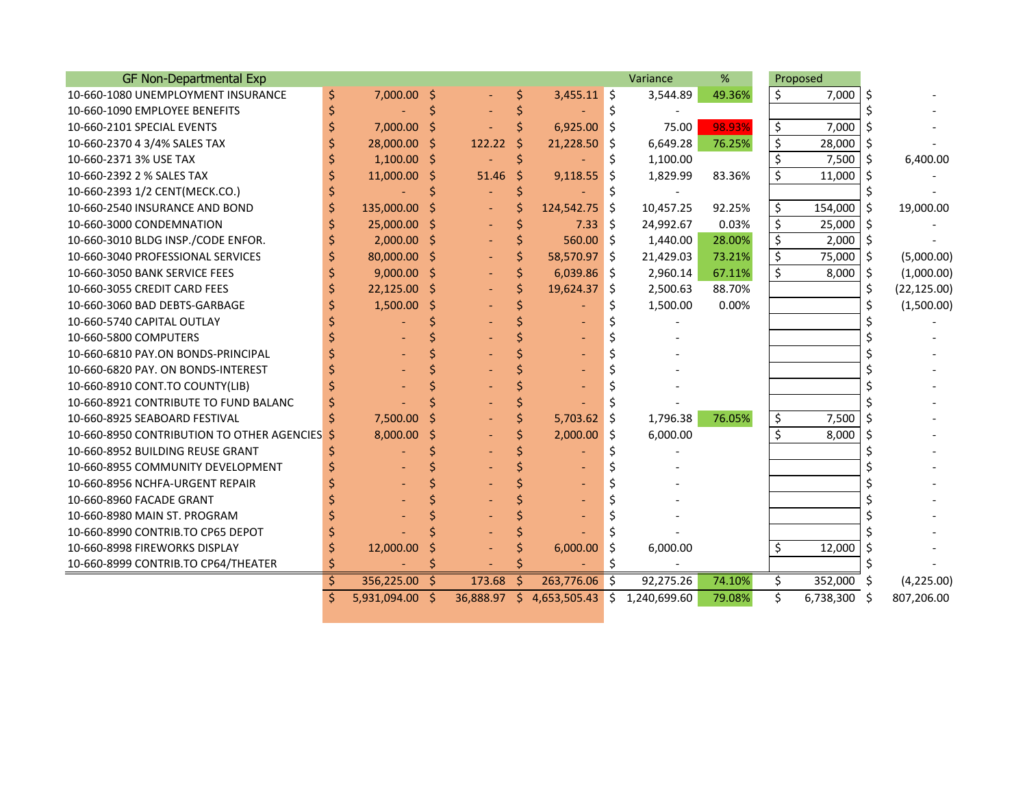| <b>GF Non-Departmental Exp</b>             |    |                 |    |        |    |                                           |    | Variance  | %      |         | Proposed  |    |              |
|--------------------------------------------|----|-----------------|----|--------|----|-------------------------------------------|----|-----------|--------|---------|-----------|----|--------------|
| 10-660-1080 UNEMPLOYMENT INSURANCE         | \$ | 7,000.00 \$     |    |        | \$ | $3,455.11$ \$                             |    | 3,544.89  | 49.36% | \$      | 7,000     | Ŝ. |              |
| 10-660-1090 EMPLOYEE BENEFITS              |    |                 |    |        |    |                                           |    |           |        |         |           |    |              |
| 10-660-2101 SPECIAL EVENTS                 |    | 7,000.00        | S  |        |    | 6,925.00                                  | \$ | 75.00     | 98.93% | \$      | 7,000     |    |              |
| 10-660-2370 4 3/4% SALES TAX               |    | 28,000.00       | -S | 122.22 | -Ŝ | 21,228.50                                 | Ŝ. | 6,649.28  | 76.25% | \$      | 28,000    | \$ |              |
| 10-660-2371 3% USE TAX                     |    | $1,100.00$ \$   |    |        |    |                                           |    | 1,100.00  |        | \$      | 7,500     | S  | 6,400.00     |
| 10-660-2392 2 % SALES TAX                  |    | 11,000.00 \$    |    | 51.46  | \$ | 9,118.55                                  | Ŝ  | 1,829.99  | 83.36% | \$      | 11,000    |    |              |
| 10-660-2393 1/2 CENT(MECK.CO.)             |    |                 |    |        |    |                                           |    |           |        |         |           |    |              |
| 10-660-2540 INSURANCE AND BOND             |    | 135,000.00      |    |        |    | 124,542.75                                | Ŝ. | 10,457.25 | 92.25% | \$      | 154,000   | -S | 19,000.00    |
| 10-660-3000 CONDEMNATION                   |    | 25,000.00       |    |        |    | 7.33                                      | Ŝ. | 24,992.67 | 0.03%  | \$      | 25,000    |    |              |
| 10-660-3010 BLDG INSP./CODE ENFOR.         |    | $2,000.00$ \$   |    |        |    | 560.00 \$                                 |    | 1,440.00  | 28.00% | \$      | 2,000     | Ŝ  |              |
| 10-660-3040 PROFESSIONAL SERVICES          |    | 80,000.00 \$    |    |        |    | 58,570.97 \$                              |    | 21,429.03 | 73.21% | $\zeta$ | 75,000    | -S | (5,000.00)   |
| 10-660-3050 BANK SERVICE FEES              |    | $9,000.00$ \$   |    |        |    | $6,039.86$ \$                             |    | 2,960.14  | 67.11% | $\zeta$ | 8,000     | \$ | (1,000.00)   |
| 10-660-3055 CREDIT CARD FEES               |    | 22,125.00       | S  |        |    | $19,624.37$ \$                            |    | 2,500.63  | 88.70% |         |           | \$ | (22, 125.00) |
| 10-660-3060 BAD DEBTS-GARBAGE              |    | 1,500.00        | S  |        |    |                                           |    | 1,500.00  | 0.00%  |         |           |    | (1,500.00)   |
| 10-660-5740 CAPITAL OUTLAY                 |    |                 |    |        |    |                                           |    |           |        |         |           |    |              |
| 10-660-5800 COMPUTERS                      |    |                 |    |        |    |                                           |    |           |        |         |           |    |              |
| 10-660-6810 PAY.ON BONDS-PRINCIPAL         |    |                 |    |        |    |                                           |    |           |        |         |           |    |              |
| 10-660-6820 PAY, ON BONDS-INTEREST         |    |                 |    |        |    |                                           |    |           |        |         |           |    |              |
| 10-660-8910 CONT.TO COUNTY(LIB)            |    |                 |    |        |    |                                           |    |           |        |         |           |    |              |
| 10-660-8921 CONTRIBUTE TO FUND BALANC      |    |                 |    |        |    |                                           |    |           |        |         |           |    |              |
| 10-660-8925 SEABOARD FESTIVAL              | Ś  | 7,500.00        |    |        |    | 5,703.62                                  | Ŝ. | 1,796.38  | 76.05% | \$      | 7,500     | Ŝ. |              |
| 10-660-8950 CONTRIBUTION TO OTHER AGENCIES |    | 8,000.00        |    |        |    | 2,000.00                                  | Ŝ. | 6,000.00  |        | $\zeta$ | 8.000     |    |              |
| 10-660-8952 BUILDING REUSE GRANT           |    |                 |    |        |    |                                           |    |           |        |         |           |    |              |
| 10-660-8955 COMMUNITY DEVELOPMENT          |    |                 |    |        |    |                                           |    |           |        |         |           |    |              |
| 10-660-8956 NCHFA-URGENT REPAIR            |    |                 |    |        |    |                                           |    |           |        |         |           |    |              |
| 10-660-8960 FACADE GRANT                   |    |                 |    |        |    |                                           |    |           |        |         |           |    |              |
| 10-660-8980 MAIN ST. PROGRAM               |    |                 |    |        |    |                                           |    |           |        |         |           |    |              |
| 10-660-8990 CONTRIB.TO CP65 DEPOT          |    |                 |    |        |    |                                           |    |           |        |         |           |    |              |
| 10-660-8998 FIREWORKS DISPLAY              |    | 12,000.00       |    |        |    | 6,000.00                                  | Ŝ. | 6,000.00  |        | \$      | 12,000    |    |              |
| 10-660-8999 CONTRIB.TO CP64/THEATER        |    |                 |    |        |    |                                           |    |           |        |         |           |    |              |
|                                            | Ś  | 356,225.00      | Ś  | 173.68 | Ŝ  | 263,776.06                                | Ŝ. | 92,275.26 | 74.10% | \$      | 352,000   | S  | (4,225.00)   |
|                                            | \$ | 5,931,094.00 \$ |    |        |    | 36,888.97 \$ 4,653,505.43 \$ 1,240,699.60 |    |           | 79.08% | \$      | 6,738,300 | -Ś | 807,206.00   |

and the state of the state of the state of the state of the state of the state of the state of the state of th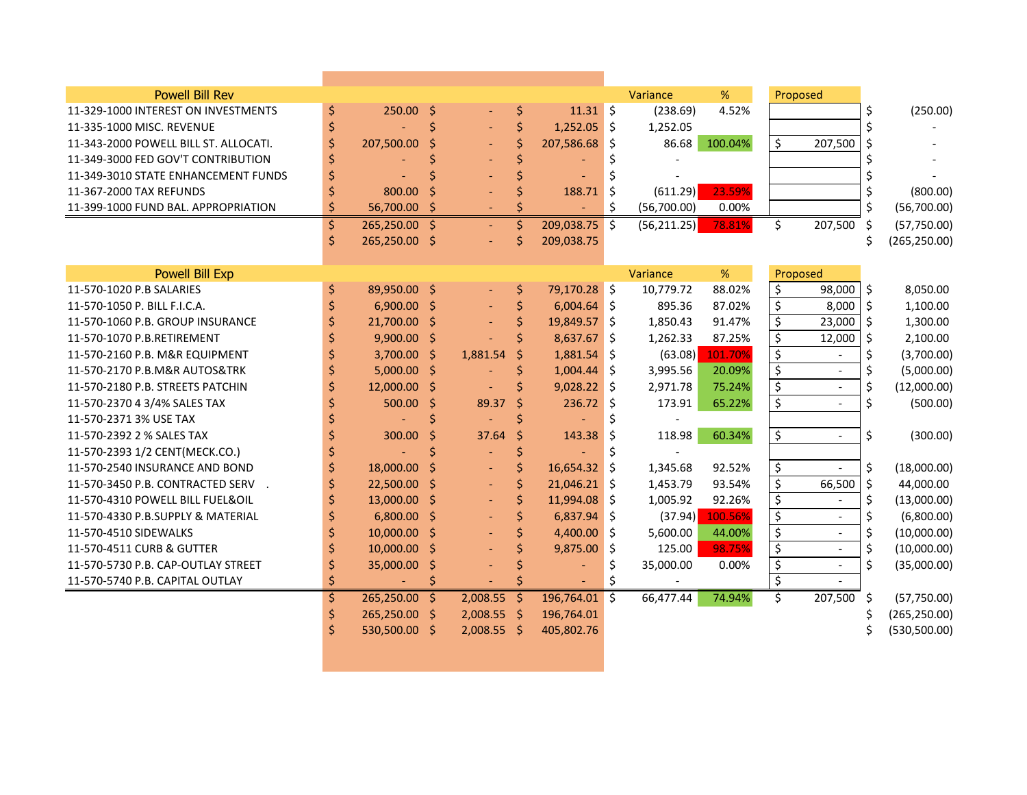| <b>Powell Bill Rev</b>                |    |               |         |               |         |                |                     | Variance     | %       |                          | Proposed                 |         |               |
|---------------------------------------|----|---------------|---------|---------------|---------|----------------|---------------------|--------------|---------|--------------------------|--------------------------|---------|---------------|
| 11-329-1000 INTEREST ON INVESTMENTS   | \$ | 250.00 \$     |         |               | \$      | $11.31 \;$ \$  |                     | (238.69)     | 4.52%   |                          |                          | \$      | (250.00)      |
| 11-335-1000 MISC. REVENUE             | \$ |               | \$      |               | \$      | $1,252.05$ \$  |                     | 1,252.05     |         |                          |                          | \$      |               |
| 11-343-2000 POWELL BILL ST. ALLOCATI. | \$ | 207,500.00    | Ś       |               | \$      | 207,586.68     | -\$                 | 86.68        | 100.04% | \$                       | 207,500                  | \$      |               |
| 11-349-3000 FED GOV'T CONTRIBUTION    | \$ |               |         |               | \$      |                | \$                  |              |         |                          |                          |         |               |
| 11-349-3010 STATE ENHANCEMENT FUNDS   | Ś  |               |         |               | Ś       |                |                     |              |         |                          |                          |         |               |
| 11-367-2000 TAX REFUNDS               | \$ | 800.00        |         |               | \$      | 188.71         | Ś                   | (611.29)     | 23.59%  |                          |                          |         | (800.00)      |
| 11-399-1000 FUND BAL. APPROPRIATION   | \$ | 56,700.00     | Ś       |               | Ś       |                | \$                  | (56,700.00)  | 0.00%   |                          |                          | \$      | (56,700.00)   |
|                                       | \$ | 265,250.00 \$ |         | $\sim$        | \$      | 209,038.75     | \$                  | (56, 211.25) | 78.81%  | \$                       | 207,500                  | Ŝ.      | (57, 750.00)  |
|                                       | Ś  | 265,250.00 \$ |         |               | \$      | 209,038.75     |                     |              |         |                          |                          | Ś       | (265, 250.00) |
|                                       |    |               |         |               |         |                |                     |              |         |                          |                          |         |               |
| <b>Powell Bill Exp</b>                |    |               |         |               |         |                |                     | Variance     | %       |                          | Proposed                 |         |               |
| 11-570-1020 P.B SALARIES              | \$ | 89,950.00 \$  |         |               | \$      | 79,170.28 \$   |                     | 10,779.72    | 88.02%  | \$                       | 98,000                   | $\zeta$ | 8,050.00      |
| 11-570-1050 P. BILL F.I.C.A.          | Ś  | 6,900.00      | $\zeta$ |               | \$      | 6,004.64       | $\ddot{\mathsf{s}}$ | 895.36       | 87.02%  | \$                       | 8,000                    | $\zeta$ | 1,100.00      |
| 11-570-1060 P.B. GROUP INSURANCE      |    | 21,700.00 \$  |         |               | \$      | 19,849.57      | \$                  | 1,850.43     | 91.47%  | \$                       | 23,000                   | \$      | 1,300.00      |
| 11-570-1070 P.B.RETIREMENT            |    | $9,900.00$ \$ |         |               | Ś       | 8,637.67       | -Ś                  | 1,262.33     | 87.25%  | $\overline{\mathcal{S}}$ | 12,000                   | \$      | 2,100.00      |
| 11-570-2160 P.B. M&R EQUIPMENT        |    | 3,700.00 \$   |         | 1,881.54      | \$      | 1,881.54       | - 15                | (63.08)      | 101.70% | \$                       |                          | \$      | (3,700.00)    |
| 11-570-2170 P.B.M&R AUTOS&TRK         |    | $5,000.00$ \$ |         |               | \$      | $1,004.44$ \$  |                     | 3,995.56     | 20.09%  | $\overline{\xi}$         | $\overline{a}$           | \$      | (5,000.00)    |
| 11-570-2180 P.B. STREETS PATCHIN      |    | 12,000.00     | -\$     |               | Ś       | $9,028.22$ \$  |                     | 2,971.78     | 75.24%  | $\overline{\mathcal{S}}$ | $\overline{\phantom{a}}$ | \$      | (12,000.00)   |
| 11-570-2370 4 3/4% SALES TAX          |    | 500.00        | $\zeta$ | 89.37         | $\zeta$ | $236.72$ \$    |                     | 173.91       | 65.22%  | \$                       |                          | \$      | (500.00)      |
| 11-570-2371 3% USE TAX                |    |               | Ś       |               | \$      |                | \$                  |              |         |                          |                          |         |               |
| 11-570-2392 2 % SALES TAX             |    | 300.00        | Ś       | 37.64         | $\zeta$ | 143.38         | Ŝ.                  | 118.98       | 60.34%  | \$                       | $\overline{\phantom{a}}$ | \$      | (300.00)      |
| 11-570-2393 1/2 CENT(MECK.CO.)        |    |               | Ś       |               | \$      |                | Ś                   |              |         |                          |                          |         |               |
| 11-570-2540 INSURANCE AND BOND        | Ś  | 18,000.00     | Ŝ       |               | \$      | 16,654.32      | -Ś                  | 1,345.68     | 92.52%  | \$                       |                          | \$      | (18,000.00)   |
| 11-570-3450 P.B. CONTRACTED SERV      | \$ | 22,500.00 \$  |         |               | \$      | $21,046.21$ \$ |                     | 1,453.79     | 93.54%  | \$                       | 66,500                   | \$      | 44,000.00     |
| 11-570-4310 POWELL BILL FUEL&OIL      | Ś  | 13,000.00 \$  |         |               | \$      | 11,994.08 \$   |                     | 1,005.92     | 92.26%  | $\overline{\mathcal{S}}$ | $\overline{a}$           | \$      | (13,000.00)   |
| 11-570-4330 P.B.SUPPLY & MATERIAL     |    | $6,800.00$ \$ |         |               | \$      | $6,837.94$ \$  |                     | (37.94)      | 100.56% | \$                       | $\overline{\phantom{a}}$ | \$      | (6,800.00)    |
| 11-570-4510 SIDEWALKS                 |    | 10,000.00     | -Ś      |               | \$      | $4,400.00$ \$  |                     | 5,600.00     | 44.00%  | $\overline{\xi}$         | $\overline{a}$           | \$      | (10,000.00)   |
| 11-570-4511 CURB & GUTTER             |    | 10,000.00     | -\$     |               | \$      | 9,875.00       | \$                  | 125.00       | 98.75%  | $\overline{\xi}$         | $\overline{\phantom{a}}$ | \$      | (10,000.00)   |
| 11-570-5730 P.B. CAP-OUTLAY STREET    |    | 35,000.00     | \$      |               |         |                | \$                  | 35,000.00    | 0.00%   | $\overline{\mathcal{S}}$ | $\overline{\phantom{a}}$ | \$      | (35,000.00)   |
| 11-570-5740 P.B. CAPITAL OUTLAY       |    |               |         |               | Ś       |                | \$                  |              |         | $\overline{\xi}$         |                          |         |               |
|                                       | \$ | 265,250.00    | Ŝ.      | 2,008.55      | $\zeta$ | 196,764.01 \$  |                     | 66,477.44    | 74.94%  | \$                       | 207,500                  | -\$     | (57, 750.00)  |
|                                       | \$ | 265,250.00 \$ |         | $2,008.55$ \$ |         | 196,764.01     |                     |              |         |                          |                          |         | (265, 250.00) |
|                                       | Ś  | 530,500.00 \$ |         | $2,008.55$ \$ |         | 405,802.76     |                     |              |         |                          |                          | S       | (530, 500.00) |
|                                       |    |               |         |               |         |                |                     |              |         |                          |                          |         |               |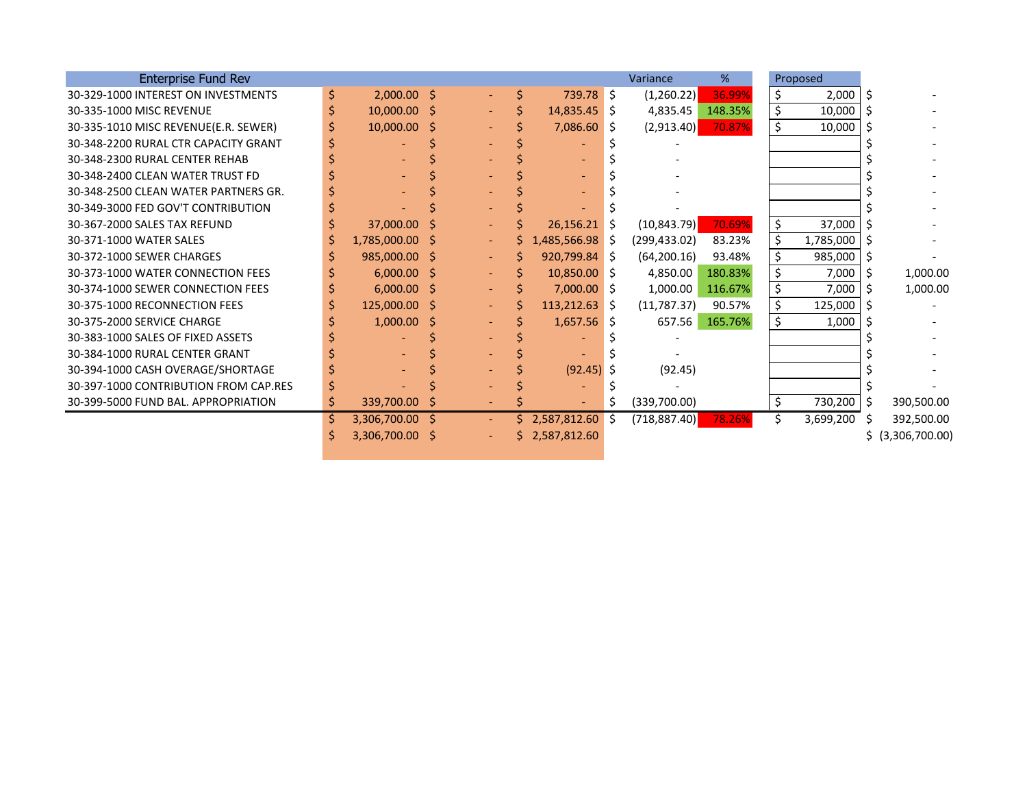| <b>Enterprise Fund Rev</b>            |    |                 |    |                |    |                   |    | Variance      | %       |    | Proposed  |     |                |
|---------------------------------------|----|-----------------|----|----------------|----|-------------------|----|---------------|---------|----|-----------|-----|----------------|
| 30-329-1000 INTEREST ON INVESTMENTS   | \$ | $2,000.00$ \$   |    |                |    | 739.78 \$         |    | (1,260.22)    | 36.99%  | \$ | 2,000     | Ŝ.  |                |
| 30-335-1000 MISC REVENUE              |    | $10,000.00$ \$  |    |                |    | $14,835.45$ \$    |    | 4,835.45      | 148.35% | \$ | 10,000    |     |                |
| 30-335-1010 MISC REVENUE(E.R. SEWER)  |    | $10,000.00$ \$  |    |                |    | 7,086.60 \$       |    | (2,913.40)    | 70.87%  | \$ | 10,000    |     |                |
| 30-348-2200 RURAL CTR CAPACITY GRANT  |    |                 |    |                |    |                   |    |               |         |    |           |     |                |
| 30-348-2300 RURAL CENTER REHAB        |    |                 |    |                |    |                   |    |               |         |    |           |     |                |
| 30-348-2400 CLEAN WATER TRUST FD      |    |                 |    |                |    |                   |    |               |         |    |           |     |                |
| 30-348-2500 CLEAN WATER PARTNERS GR.  |    |                 |    |                |    |                   |    |               |         |    |           |     |                |
| 30-349-3000 FED GOV'T CONTRIBUTION    |    |                 |    |                |    |                   |    |               |         |    |           |     |                |
| 30-367-2000 SALES TAX REFUND          |    | 37,000.00 \$    |    |                |    | $26,156.21$ \$    |    | (10, 843.79)  | 70.69%  | \$ | 37,000    |     |                |
| 30-371-1000 WATER SALES               |    | 1,785,000.00 \$ |    | $\sim$         |    | $1,485,566.98$ \$ |    | (299, 433.02) | 83.23%  | \$ | 1,785,000 |     |                |
| 30-372-1000 SEWER CHARGES             |    | 985,000.00 \$   |    | ٠.             |    | $920,799.84$ \$   |    | (64, 200.16)  | 93.48%  | \$ | 985,000   | -S  |                |
| 30-373-1000 WATER CONNECTION FEES     |    | $6,000.00$ \$   |    | ٠              |    | $10,850.00$ \$    |    | 4,850.00      | 180.83% | \$ | 7,000     | -S  | 1,000.00       |
| 30-374-1000 SEWER CONNECTION FEES     |    | $6,000.00$ \$   |    | $\blacksquare$ |    | $7,000.00$ \$     |    | 1,000.00      | 116.67% | \$ | 7,000     | -S  | 1,000.00       |
| 30-375-1000 RECONNECTION FEES         |    | 125,000.00 \$   |    | $\sim$         |    | $113,212.63$ \$   |    | (11, 787.37)  | 90.57%  | \$ | 125,000   |     |                |
| 30-375-2000 SERVICE CHARGE            |    | $1,000.00$ \$   |    | ٠              |    | $1,657.56$ \$     |    | 657.56        | 165.76% | \$ | 1,000     |     |                |
| 30-383-1000 SALES OF FIXED ASSETS     |    |                 |    |                |    |                   |    |               |         |    |           |     |                |
| 30-384-1000 RURAL CENTER GRANT        |    |                 |    |                |    |                   |    |               |         |    |           |     |                |
| 30-394-1000 CASH OVERAGE/SHORTAGE     |    |                 |    |                |    | $(92.45)$ \$      |    | (92.45)       |         |    |           |     |                |
| 30-397-1000 CONTRIBUTION FROM CAP.RES |    |                 |    |                |    |                   |    |               |         |    |           |     |                |
| 30-399-5000 FUND BAL. APPROPRIATION   | \$ | 339,700.00      | -S |                |    |                   | Ş. | (339,700.00)  |         | \$ | 730,200   | - S | 390,500.00     |
|                                       | \$ | 3,306,700.00 \$ |    | $\sim$         |    | \$2,587,812.60    | Ŝ. | (718, 887.40) | 78.26%  | Ś. | 3,699,200 |     | 392,500.00     |
|                                       | S  | 3,306,700.00 \$ |    | $\blacksquare$ | S. | 2,587,812.60      |    |               |         |    |           | s   | (3,306,700.00) |
|                                       |    |                 |    |                |    |                   |    |               |         |    |           |     |                |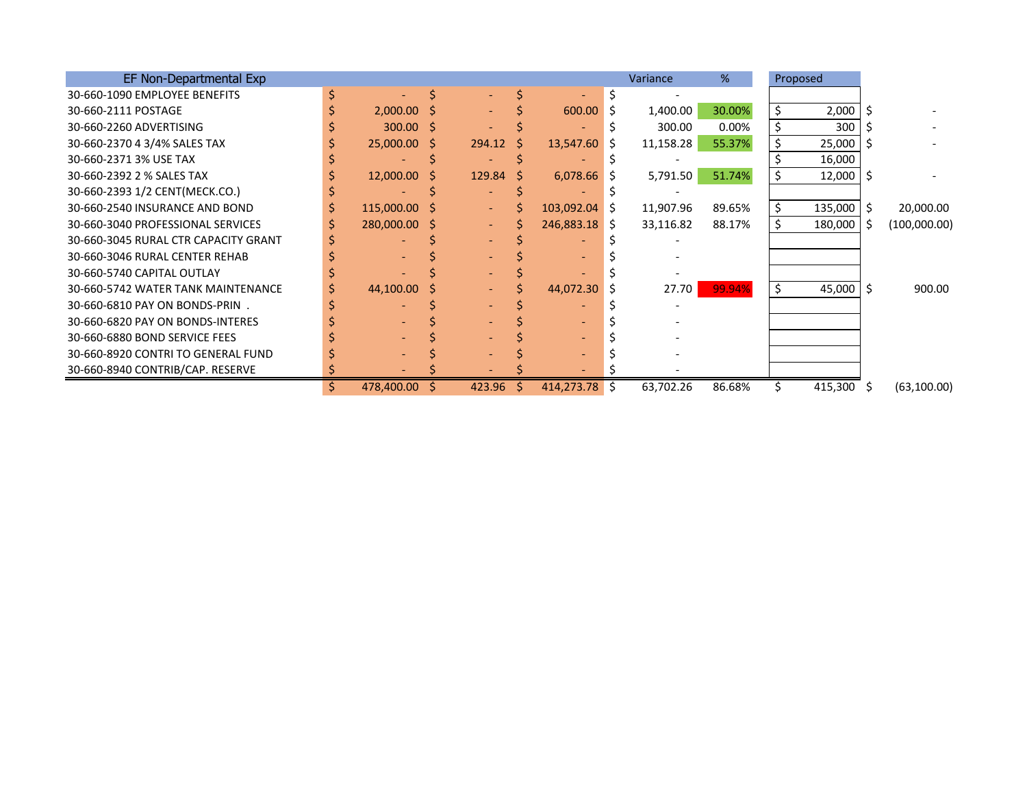| EF Non-Departmental Exp              |    |               |              |                          |    |                 |              | Variance  | %      |    | Proposed      |    |              |
|--------------------------------------|----|---------------|--------------|--------------------------|----|-----------------|--------------|-----------|--------|----|---------------|----|--------------|
| 30-660-1090 EMPLOYEE BENEFITS        |    |               |              |                          |    |                 |              |           |        |    |               |    |              |
| 30-660-2111 POSTAGE                  |    | $2,000.00$ \$ |              | $\overline{\phantom{0}}$ |    | 600.00          | <sub>S</sub> | 1,400.00  | 30.00% | Ś. | 2,000         |    |              |
| 30-660-2260 ADVERTISING              |    | $300.00$ \$   |              |                          |    |                 |              | 300.00    | 0.00%  |    | 300           |    |              |
| 30-660-2370 4 3/4% SALES TAX         |    | 25,000.00 \$  |              | 294.12                   | S  | 13,547.60       | -S           | 11,158.28 | 55.37% |    | 25,000        |    |              |
| 30-660-2371 3% USE TAX               |    |               |              |                          |    |                 |              |           |        |    | 16,000        |    |              |
| 30-660-2392 2 % SALES TAX            |    | 12,000.00     | <sub>S</sub> | 129.84                   | -S | $6,078.66$ \$   |              | 5,791.50  | 51.74% |    | $12,000$   \$ |    |              |
| 30-660-2393 1/2 CENT(MECK.CO.)       |    |               |              |                          |    |                 |              |           |        |    |               |    |              |
| 30-660-2540 INSURANCE AND BOND       |    | 115,000.00 \$ |              | $\blacksquare$           |    | $103,092.04$ \$ |              | 11,907.96 | 89.65% |    | 135,000       | .S | 20,000.00    |
| 30-660-3040 PROFESSIONAL SERVICES    |    | 280,000.00 \$ |              | $\sim$                   |    | 246,883.18 \$   |              | 33,116.82 | 88.17% |    | 180,000       | -S | (100,000.00) |
| 30-660-3045 RURAL CTR CAPACITY GRANT |    |               |              |                          |    |                 |              |           |        |    |               |    |              |
| 30-660-3046 RURAL CENTER REHAB       |    |               |              |                          |    |                 |              |           |        |    |               |    |              |
| 30-660-5740 CAPITAL OUTLAY           |    |               |              |                          |    |                 |              |           |        |    |               |    |              |
| 30-660-5742 WATER TANK MAINTENANCE   |    | 44,100.00     |              | $\blacksquare$           |    | 44,072.30       |              | 27.70     | 99.94% | Š. | 45,000 \$     |    | 900.00       |
| 30-660-6810 PAY ON BONDS-PRIN.       |    |               |              |                          |    |                 |              |           |        |    |               |    |              |
| 30-660-6820 PAY ON BONDS-INTERES     |    |               |              |                          |    |                 |              |           |        |    |               |    |              |
| 30-660-6880 BOND SERVICE FEES        |    |               |              |                          |    |                 |              |           |        |    |               |    |              |
| 30-660-8920 CONTRI TO GENERAL FUND   |    |               |              |                          |    |                 |              |           |        |    |               |    |              |
| 30-660-8940 CONTRIB/CAP. RESERVE     |    |               |              |                          |    |                 |              |           |        |    |               |    |              |
|                                      | Ŝ. | 478,400.00    |              | 423.96                   | S. | 414,273.78      | S.           | 63,702.26 | 86.68% |    | 415,300 \$    |    | (63, 100.00) |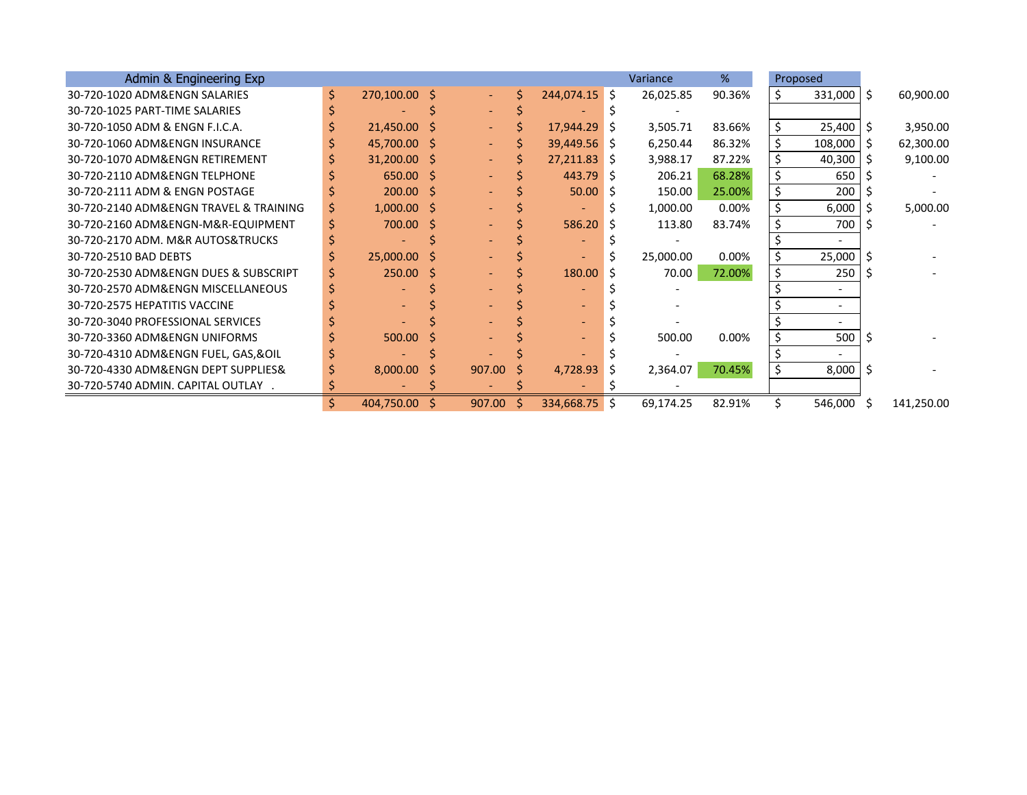| Admin & Engineering Exp                |    |                |    |                |    |                 |    | Variance  | %      |    | Proposed                 |   |            |
|----------------------------------------|----|----------------|----|----------------|----|-----------------|----|-----------|--------|----|--------------------------|---|------------|
| 30-720-1020 ADM&ENGN SALARIES          | \$ | 270,100.00 \$  |    | $\sim 10^{-1}$ |    | $244,074.15$ \$ |    | 26,025.85 | 90.36% | S  | $331,000$   \$           |   | 60,900.00  |
| 30-720-1025 PART-TIME SALARIES         |    |                |    |                |    |                 |    |           |        |    |                          |   |            |
| 30-720-1050 ADM & ENGN F.I.C.A.        |    | $21,450.00$ \$ |    | $\sim$ .       |    | 17,944.29       | -S | 3,505.71  | 83.66% | \$ | $25,400$   \$            |   | 3,950.00   |
| 30-720-1060 ADM&ENGN INSURANCE         |    | 45,700.00 \$   |    | $\sim$         |    | $39,449.56$ \$  |    | 6,250.44  | 86.32% |    | 108,000                  | S | 62,300.00  |
| 30-720-1070 ADM&ENGN RETIREMENT        |    | $31,200.00$ \$ |    |                |    | $27,211.83$ \$  |    | 3,988.17  | 87.22% |    | 40,300                   |   | 9,100.00   |
| 30-720-2110 ADM&ENGN TELPHONE          |    | 650.00 \$      |    |                |    | 443.79          | -S | 206.21    | 68.28% |    | 650                      |   |            |
| 30-720-2111 ADM & ENGN POSTAGE         |    | $200.00$ \$    |    |                |    | 50.00           | -S | 150.00    | 25.00% |    | 200                      |   |            |
| 30-720-2140 ADM&ENGN TRAVEL & TRAINING | S  | $1,000.00$ \$  |    |                |    |                 |    | 1,000.00  | 0.00%  | \$ | 6,000                    |   | 5,000.00   |
| 30-720-2160 ADM&ENGN-M&R-EQUIPMENT     |    | 700.00 \$      |    |                |    | 586.20          |    | 113.80    | 83.74% |    | 700                      |   |            |
| 30-720-2170 ADM. M&R AUTOS&TRUCKS      |    |                |    |                |    |                 |    |           |        |    |                          |   |            |
| 30-720-2510 BAD DEBTS                  |    | $25,000.00$ \$ |    |                |    |                 |    | 25,000.00 | 0.00%  |    | 25,000                   |   |            |
| 30-720-2530 ADM&ENGN DUES & SUBSCRIPT  |    | 250.00         | -S |                |    | 180.00          |    | 70.00     | 72.00% |    | 250                      |   |            |
| 30-720-2570 ADM&ENGN MISCELLANEOUS     |    |                |    |                |    |                 |    |           |        |    |                          |   |            |
| 30-720-2575 HEPATITIS VACCINE          |    |                |    |                |    |                 |    |           |        |    |                          |   |            |
| 30-720-3040 PROFESSIONAL SERVICES      |    |                |    |                |    |                 |    |           |        |    |                          |   |            |
| 30-720-3360 ADM&ENGN UNIFORMS          |    | 500.00         | -S |                |    |                 |    | 500.00    | 0.00%  |    | 500                      |   |            |
| 30-720-4310 ADM&ENGN FUEL, GAS,&OIL    |    |                |    |                |    |                 |    |           |        |    | $\overline{\phantom{0}}$ |   |            |
| 30-720-4330 ADM&ENGN DEPT SUPPLIES&    |    | $8,000.00$ \$  |    | 907.00         | -S | 4,728.93        | -S | 2,364.07  | 70.45% |    | 8,000                    |   |            |
| 30-720-5740 ADMIN. CAPITAL OUTLAY .    |    |                |    |                |    |                 |    |           |        |    |                          |   |            |
|                                        | S. | 404,750.00     |    | 907.00         | -S | 334,668.75 \$   |    | 69,174.25 | 82.91% |    | 546,000 \$               |   | 141,250.00 |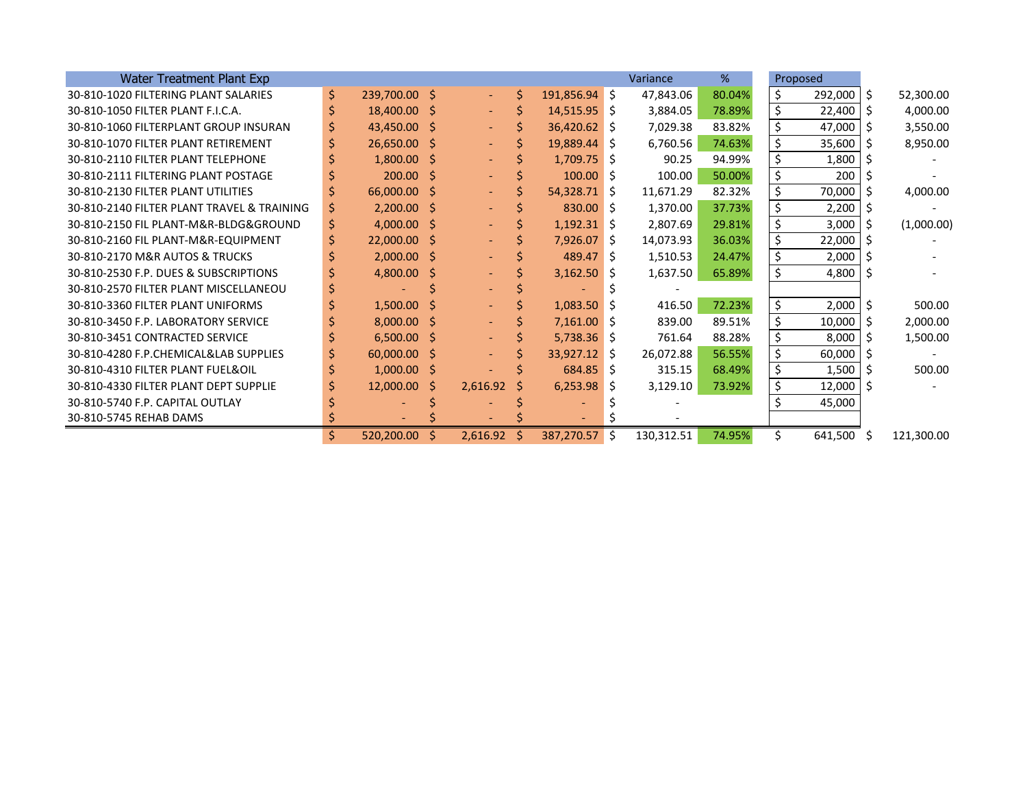| Water Treatment Plant Exp                  |    |                          |               |    |                |   | Variance   | %      | Proposed      |    |            |
|--------------------------------------------|----|--------------------------|---------------|----|----------------|---|------------|--------|---------------|----|------------|
| 30-810-1020 FILTERING PLANT SALARIES       | \$ | 239,700.00 \$            |               | Ś  | 191,856.94 \$  |   | 47,843.06  | 80.04% | \$<br>292,000 | -S | 52,300.00  |
| 30-810-1050 FILTER PLANT F.I.C.A.          | \$ | 18,400.00 \$             | $\sim$        |    | $14,515.95$ \$ |   | 3,884.05   | 78.89% | \$<br>22,400  | S  | 4,000.00   |
| 30-810-1060 FILTERPLANT GROUP INSURAN      | \$ | 43,450.00 \$             | $\sim$        |    | 36,420.62 \$   |   | 7,029.38   | 83.82% | \$<br>47,000  |    | 3,550.00   |
| 30-810-1070 FILTER PLANT RETIREMENT        |    | $26,650.00$ \$           | $\sim$        |    | 19,889.44 \$   |   | 6,760.56   | 74.63% | \$<br>35,600  |    | 8,950.00   |
| 30-810-2110 FILTER PLANT TELEPHONE         |    | $1,800.00$ \$            |               |    | $1,709.75$ \$  |   | 90.25      | 94.99% | \$<br>1,800   |    |            |
| 30-810-2111 FILTERING PLANT POSTAGE        |    | $200.00$ \$              |               |    | $100.00$ \$    |   | 100.00     | 50.00% | \$<br>200     |    |            |
| 30-810-2130 FILTER PLANT UTILITIES         | Ś  | 66,000.00 \$             |               |    | $54,328.71$ \$ |   | 11,671.29  | 82.32% | \$<br>70,000  |    | 4,000.00   |
| 30-810-2140 FILTER PLANT TRAVEL & TRAINING |    | $2,200.00$ \$            |               |    | $830.00$ \$    |   | 1,370.00   | 37.73% | \$<br>2,200   |    |            |
| 30-810-2150 FIL PLANT-M&R-BLDG&GROUND      | \$ | $4,000.00$ \$            |               |    | $1,192.31$ \$  |   | 2,807.69   | 29.81% | \$<br>3,000   |    | (1,000.00) |
| 30-810-2160 FIL PLANT-M&R-EQUIPMENT        | S  | $22,000.00$ \$           |               |    | $7,926.07$ \$  |   | 14,073.93  | 36.03% | \$<br>22,000  |    |            |
| 30-810-2170 M&R AUTOS & TRUCKS             |    | $2,000.00$ \$            |               |    | $489.47$ \$    |   | 1,510.53   | 24.47% | \$<br>2,000   |    |            |
| 30-810-2530 F.P. DUES & SUBSCRIPTIONS      |    | 4,800.00 \$              |               |    | $3,162.50$ \$  |   | 1,637.50   | 65.89% | \$<br>4,800   |    |            |
| 30-810-2570 FILTER PLANT MISCELLANEOU      |    |                          |               |    |                |   |            |        |               |    |            |
| 30-810-3360 FILTER PLANT UNIFORMS          |    | $1,500.00$ \$            |               |    | $1,083.50$ \$  |   | 416.50     | 72.23% | \$<br>2,000   |    | 500.00     |
| 30-810-3450 F.P. LABORATORY SERVICE        |    | $8,000.00$ \$            | $\sim$        |    | $7,161.00$ \$  |   | 839.00     | 89.51% | \$<br>10,000  |    | 2,000.00   |
| 30-810-3451 CONTRACTED SERVICE             |    | $6,500.00$ \$            |               |    | $5,738.36$ \$  |   | 761.64     | 88.28% | \$<br>8,000   |    | 1,500.00   |
| 30-810-4280 F.P.CHEMICAL&LAB SUPPLIES      |    | 60,000.00 \$             |               |    | $33,927.12$ \$ |   | 26,072.88  | 56.55% | \$<br>60,000  |    |            |
| 30-810-4310 FILTER PLANT FUEL&OIL          | S  | $1,000.00$ \$            |               |    | 684.85 \$      |   | 315.15     | 68.49% | \$<br>1,500   |    | 500.00     |
| 30-810-4330 FILTER PLANT DEPT SUPPLIE      |    | $12,000.00$ \$           | 2,616.92      | -S | 6,253.98       | S | 3,129.10   | 73.92% | \$<br>12,000  |    |            |
| 30-810-5740 F.P. CAPITAL OUTLAY            |    |                          |               |    |                |   |            |        | 45,000        |    |            |
| 30-810-5745 REHAB DAMS                     |    | $\overline{\phantom{a}}$ |               |    |                |   |            |        |               |    |            |
|                                            | \$ | $520,200.00$ \$          | $2,616.92$ \$ |    | 387,270.57 \$  |   | 130,312.51 | 74.95% | 641,500 \$    |    | 121,300.00 |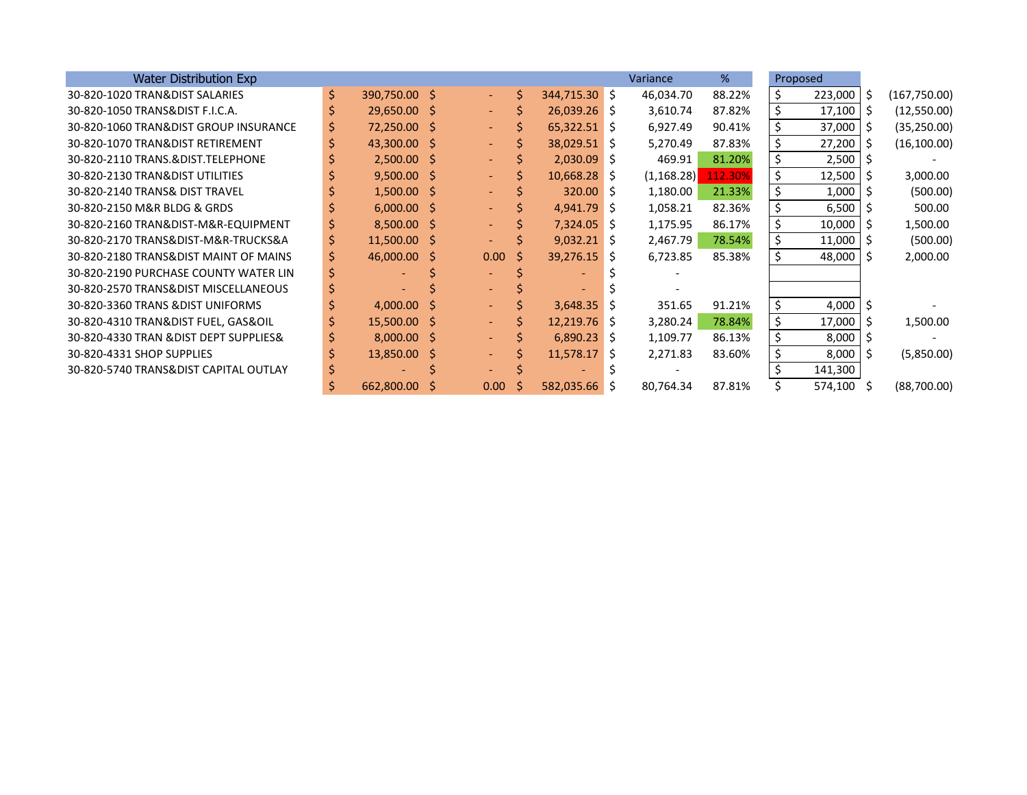| <b>Water Distribution Exp</b>          |    |               |                          |   |                 | Variance    | %       |     | Proposed      |      |               |
|----------------------------------------|----|---------------|--------------------------|---|-----------------|-------------|---------|-----|---------------|------|---------------|
| 30-820-1020 TRAN&DIST SALARIES         | \$ | 390,750.00 \$ | $\omega_{\rm{eff}}$      | Ś | $344,715.30$ \$ | 46,034.70   | 88.22%  | \$  | 223,000       | l \$ | (167, 750.00) |
| 30-820-1050 TRANS&DIST F.I.C.A.        | Ś  | 29,650.00 \$  | $\sim$ $-$               |   | $26,039.26$ \$  | 3,610.74    | 87.82%  | \$  | 17,100        | l S  | (12,550.00)   |
| 30-820-1060 TRAN&DIST GROUP INSURANCE  | Ş  | 72,250.00 \$  | $\sim$                   |   | $65,322.51$ \$  | 6,927.49    | 90.41%  |     | 37,000        | l S  | (35, 250.00)  |
| 30-820-1070 TRAN&DIST RETIREMENT       |    | 43,300.00 \$  | $\overline{\phantom{0}}$ |   | 38,029.51 \$    | 5,270.49    | 87.83%  | \$  | 27,200        | l Ś  | (16, 100.00)  |
| 30-820-2110 TRANS.&DIST.TELEPHONE      |    | $2,500.00$ \$ | $\sim$                   |   | $2,030.09$ \$   | 469.91      | 81.20%  | \$  | 2,500         |      |               |
| 30-820-2130 TRAN&DIST UTILITIES        |    | $9,500.00$ \$ | $\sim$                   | S | $10,668.28$ \$  | (1, 168.28) | 112.30% | \$  | 12,500        | l S  | 3,000.00      |
| 30-820-2140 TRANS& DIST TRAVEL         |    | $1,500.00$ \$ | $\sim$                   |   | $320.00$ \$     | 1,180.00    | 21.33%  | \$  | 1,000         |      | (500.00)      |
| 30-820-2150 M&R BLDG & GRDS            |    | $6,000.00$ \$ | $\overline{\phantom{0}}$ |   | $4,941.79$ \$   | 1,058.21    | 82.36%  | \$  | 6,500         |      | 500.00        |
| 30-820-2160 TRAN&DIST-M&R-EQUIPMENT    |    | $8,500.00$ \$ | $\sim$                   |   | $7,324.05$ \$   | 1,175.95    | 86.17%  | \$  | 10,000        | l S  | 1,500.00      |
| 30-820-2170 TRANS&DIST-M&R-TRUCKS&A    | \$ | 11,500.00 \$  | $\overline{\phantom{0}}$ |   | $9,032.21$ \$   | 2,467.79    | 78.54%  | \$  | 11,000        | ΙS   | (500.00)      |
| 30-820-2180 TRANS&DIST MAINT OF MAINS  |    | 46,000.00 \$  | 0.00 <sub>1</sub>        | Ŝ | $39,276.15$ \$  | 6,723.85    | 85.38%  |     | $48,000$   \$ |      | 2,000.00      |
| 30-820-2190 PURCHASE COUNTY WATER LIN  |    |               |                          |   |                 |             |         |     |               |      |               |
| 30-820-2570 TRANS&DIST MISCELLANEOUS   |    |               |                          |   |                 |             |         |     |               |      |               |
| 30-820-3360 TRANS & DIST UNIFORMS      |    | $4,000.00$ \$ | $\sim$ $-$               |   | $3,648.35$ \$   | 351.65      | 91.21%  | \$. | 4,000         | l \$ |               |
| 30-820-4310 TRAN&DIST FUEL, GAS&OIL    |    | 15,500.00 \$  | $\sim$ $-$               | Ś | $12,219.76$ \$  | 3,280.24    | 78.84%  | \$  | 17,000        | l S  | 1,500.00      |
| 30-820-4330 TRAN & DIST DEPT SUPPLIES& |    | $8,000.00$ \$ | $\overline{\phantom{0}}$ |   | $6,890.23$ \$   | 1,109.77    | 86.13%  | \$  | 8,000         | l S  |               |
| 30-820-4331 SHOP SUPPLIES              |    | 13,850.00 \$  | $\sim$                   |   | $11,578.17$ \$  | 2,271.83    | 83.60%  |     | 8,000         | l S  | (5,850.00)    |
| 30-820-5740 TRANS&DIST CAPITAL OUTLAY  |    |               |                          |   |                 |             |         |     | 141,300       |      |               |
|                                        |    | 662,800.00    | 0.00 <sub>1</sub>        | S | 582,035.66 \$   | 80,764.34   | 87.81%  |     | 574,100 \$    |      | (88,700.00)   |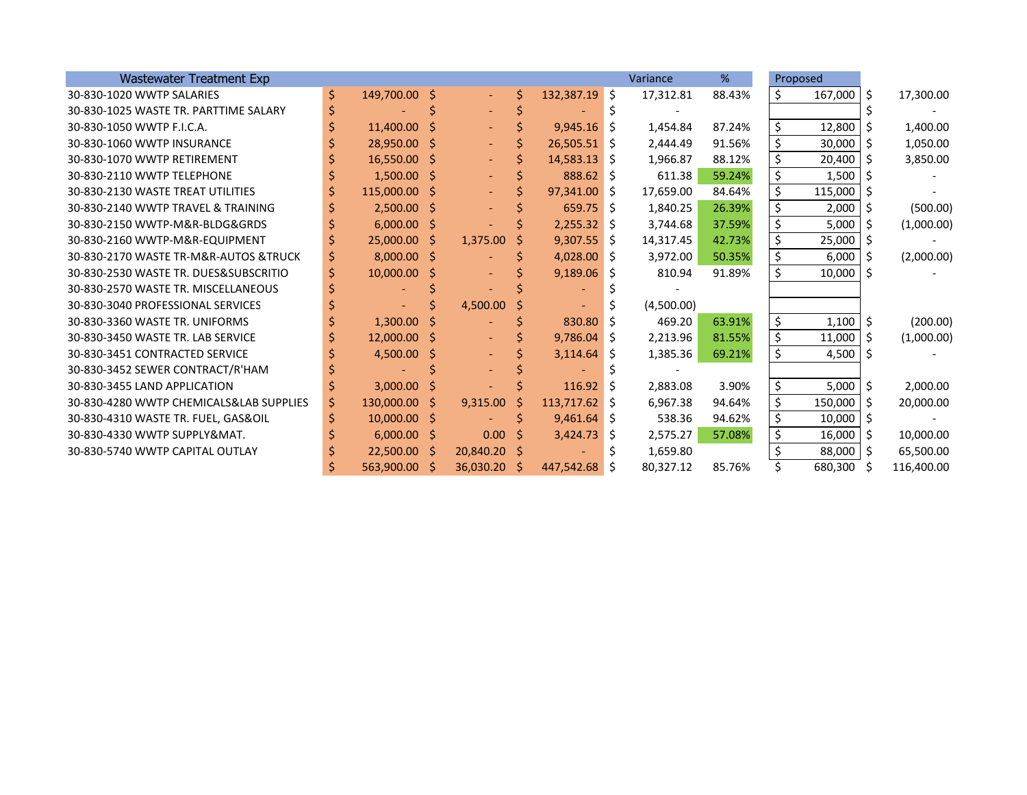| <b>Wastewater Treatment Exp</b>         |     |                |    |                     |    |                 |    | Variance   | %      |    | Proposed       |    |            |
|-----------------------------------------|-----|----------------|----|---------------------|----|-----------------|----|------------|--------|----|----------------|----|------------|
| 30-830-1020 WWTP SALARIES               | \$. | 149,700.00 \$  |    | $\omega_{\rm{eff}}$ | Ś. | 132,387.19 \$   |    | 17,312.81  | 88.43% | \$ | $167,000$   \$ |    | 17,300.00  |
| 30-830-1025 WASTE TR. PARTTIME SALARY   | \$  |                |    |                     |    |                 |    |            |        |    |                |    |            |
| 30-830-1050 WWTP F.I.C.A.               |     | 11,400.00      | -Ŝ | $\sim$              |    | $9,945.16$ \$   |    | 1,454.84   | 87.24% | \$ | 12,800         |    | 1,400.00   |
| 30-830-1060 WWTP INSURANCE              |     | 28,950.00 \$   |    | $\blacksquare$      |    | $26,505.51$ \$  |    | 2,444.49   | 91.56% | \$ | $30,000$ \$    |    | 1,050.00   |
| 30-830-1070 WWTP RETIREMENT             |     | 16,550.00 \$   |    |                     |    | $14,583.13$ \$  |    | 1,966.87   | 88.12% | \$ | 20,400         | -S | 3,850.00   |
| 30-830-2110 WWTP TELEPHONE              |     | $1,500.00$ \$  |    |                     |    | 888.62 \$       |    | 611.38     | 59.24% | \$ | 1,500          |    |            |
| 30-830-2130 WASTE TREAT UTILITIES       |     | 115,000.00 \$  |    |                     |    | $97,341.00$ \$  |    | 17,659.00  | 84.64% | \$ | 115,000        |    |            |
| 30-830-2140 WWTP TRAVEL & TRAINING      |     | $2,500.00$ \$  |    |                     |    | $659.75$ \$     |    | 1,840.25   | 26.39% | \$ | 2,000          |    | (500.00)   |
| 30-830-2150 WWTP-M&R-BLDG&GRDS          |     | $6,000.00$ \$  |    |                     |    | $2,255.32$ \$   |    | 3,744.68   | 37.59% | \$ | 5,000          | Ŝ. | (1,000.00) |
| 30-830-2160 WWTP-M&R-EQUIPMENT          |     | $25,000.00$ \$ |    | 1,375.00            |    | $9,307.55$ \$   |    | 14,317.45  | 42.73% | \$ | 25,000         |    |            |
| 30-830-2170 WASTE TR-M&R-AUTOS & TRUCK  |     | $8,000.00$ \$  |    |                     |    | $4,028.00$ \$   |    | 3,972.00   | 50.35% | \$ | 6,000          | Ŝ  | (2,000.00) |
| 30-830-2530 WASTE TR. DUES&SUBSCRITIO   |     | $10,000.00$ \$ |    |                     |    | 9,189.06        | S  | 810.94     | 91.89% | \$ | $10,000$   \$  |    |            |
| 30-830-2570 WASTE TR. MISCELLANEOUS     |     |                |    |                     |    |                 |    |            |        |    |                |    |            |
| 30-830-3040 PROFESSIONAL SERVICES       |     |                |    | 4,500.00            |    |                 |    | (4,500.00) |        |    |                |    |            |
| 30-830-3360 WASTE TR. UNIFORMS          |     | 1,300.00       |    |                     |    | 830.80          | Ŝ. | 469.20     | 63.91% | \$ | $1,100$ \$     |    | (200.00)   |
| 30-830-3450 WASTE TR. LAB SERVICE       |     | 12,000.00 \$   |    |                     |    | 9,786.04        | S  | 2,213.96   | 81.55% | \$ | $11,000$   \$  |    | (1,000.00) |
| 30-830-3451 CONTRACTED SERVICE          |     | $4,500.00$ \$  |    |                     |    | 3,114.64        | Ŝ. | 1,385.36   | 69.21% | \$ | $4,500$ \$     |    |            |
| 30-830-3452 SEWER CONTRACT/R'HAM        |     |                |    |                     |    |                 |    |            |        |    |                |    |            |
| 30-830-3455 LAND APPLICATION            |     | 3,000.00       | S  |                     |    | 116.92          | Ŝ. | 2,883.08   | 3.90%  | \$ | $5,000$ \$     |    | 2,000.00   |
| 30-830-4280 WWTP CHEMICALS&LAB SUPPLIES | \$  | 130,000.00 \$  |    | 9,315.00            | -S | $113,717.62$ \$ |    | 6,967.38   | 94.64% | \$ | 150,000 \$     |    | 20,000.00  |
| 30-830-4310 WASTE TR. FUEL, GAS&OIL     |     | $10,000.00$ \$ |    |                     |    | $9,461.64$ \$   |    | 538.36     | 94.62% | Ś  | 10,000         | -S |            |
| 30-830-4330 WWTP SUPPLY&MAT.            |     | $6,000.00$ \$  |    | 0.00                | -S | 3,424.73        | S  | 2,575.27   | 57.08% | \$ | $16,000$   \$  |    | 10,000.00  |
| 30-830-5740 WWTP CAPITAL OUTLAY         |     | 22,500.00 \$   |    | 20,840.20 \$        |    |                 | S  | 1,659.80   |        | Ś. | $88,000$   \$  |    | 65,500.00  |
|                                         |     | 563,900.00 \$  |    | 36,030.20           | -S | 447,542.68      | -S | 80,327.12  | 85.76% |    | 680,300        | -S | 116,400.00 |